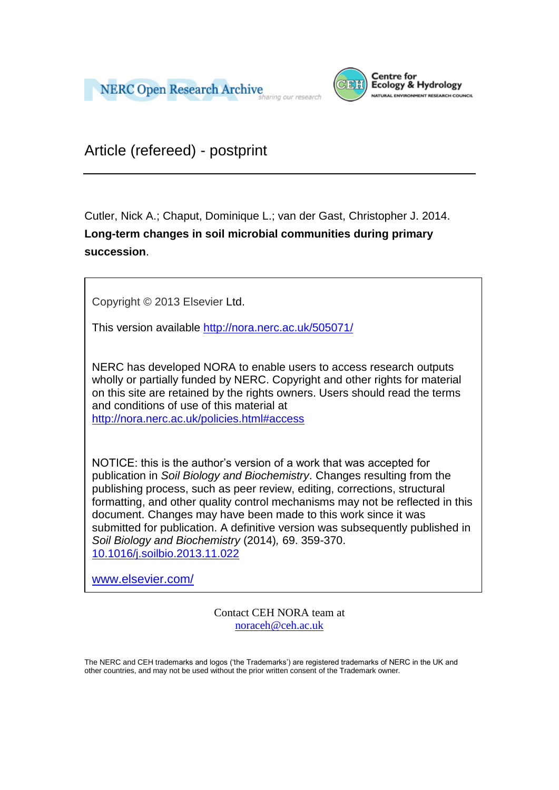



Article (refereed) - postprint

Cutler, Nick A.; Chaput, Dominique L.; van der Gast, Christopher J. 2014. **Long-term changes in soil microbial communities during primary succession**.

Copyright © 2013 Elsevier Ltd.

This version available<http://nora.nerc.ac.uk/505071/>

NERC has developed NORA to enable users to access research outputs wholly or partially funded by NERC. Copyright and other rights for material on this site are retained by the rights owners. Users should read the terms and conditions of use of this material at

<http://nora.nerc.ac.uk/policies.html#access>

NOTICE: this is the author's version of a work that was accepted for publication in *Soil Biology and Biochemistry*. Changes resulting from the publishing process, such as peer review, editing, corrections, structural formatting, and other quality control mechanisms may not be reflected in this document. Changes may have been made to this work since it was submitted for publication. A definitive version was subsequently published in *Soil Biology and Biochemistry* (2014)*,* 69. 359-370. [10.1016/j.soilbio.2013.11.022](http://dx.doi.org/10.1016/j.soilbio.2013.11.022)

[www.elsevier.com/](http://www.elsevier.com/)

Contact CEH NORA team at [noraceh@ceh.ac.uk](mailto:nora@ceh.ac.uk)

The NERC and CEH trademarks and logos ('the Trademarks') are registered trademarks of NERC in the UK and other countries, and may not be used without the prior written consent of the Trademark owner*.*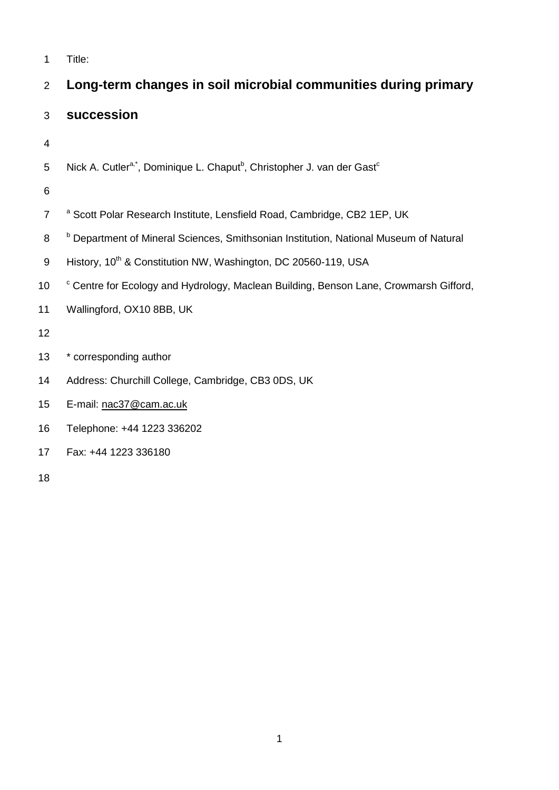| $\mathbf{1}$             | Title:                                                                                                      |
|--------------------------|-------------------------------------------------------------------------------------------------------------|
| $\overline{2}$           | Long-term changes in soil microbial communities during primary                                              |
| 3                        | succession                                                                                                  |
| $\overline{\mathcal{A}}$ |                                                                                                             |
| 5                        | Nick A. Cutler <sup>a,*</sup> , Dominique L. Chaput <sup>b</sup> , Christopher J. van der Gast <sup>c</sup> |
| 6                        |                                                                                                             |
| $\overline{7}$           | a Scott Polar Research Institute, Lensfield Road, Cambridge, CB2 1EP, UK                                    |
| 8                        | <sup>b</sup> Department of Mineral Sciences, Smithsonian Institution, National Museum of Natural            |
| 9                        | History, 10 <sup>th</sup> & Constitution NW, Washington, DC 20560-119, USA                                  |
| 10                       | <sup>c</sup> Centre for Ecology and Hydrology, Maclean Building, Benson Lane, Crowmarsh Gifford,            |
| 11                       | Wallingford, OX10 8BB, UK                                                                                   |
| 12                       |                                                                                                             |
| 13                       | * corresponding author                                                                                      |
| 14                       | Address: Churchill College, Cambridge, CB3 0DS, UK                                                          |
| 15                       | E-mail: nac37@cam.ac.uk                                                                                     |
| 16                       | Telephone: +44 1223 336202                                                                                  |
| 17                       | Fax: +44 1223 336180                                                                                        |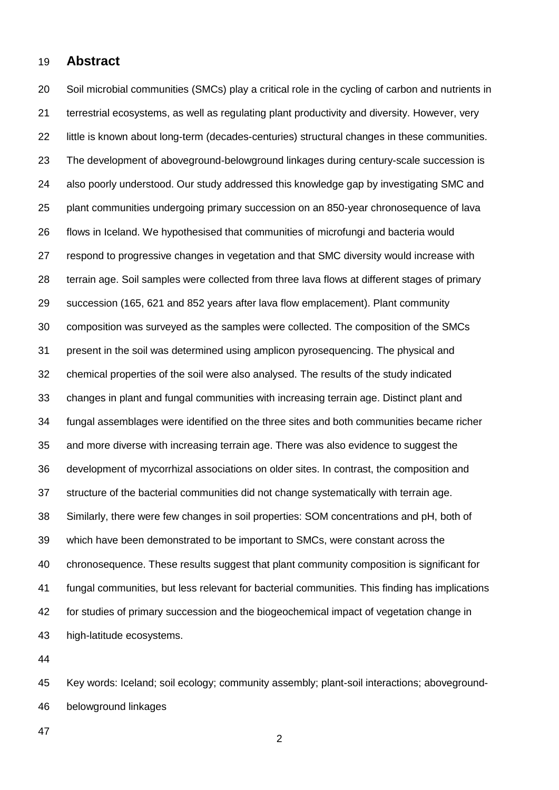## **Abstract**

 Soil microbial communities (SMCs) play a critical role in the cycling of carbon and nutrients in terrestrial ecosystems, as well as regulating plant productivity and diversity. However, very little is known about long-term (decades-centuries) structural changes in these communities. The development of aboveground-belowground linkages during century-scale succession is also poorly understood. Our study addressed this knowledge gap by investigating SMC and plant communities undergoing primary succession on an 850-year chronosequence of lava flows in Iceland. We hypothesised that communities of microfungi and bacteria would respond to progressive changes in vegetation and that SMC diversity would increase with terrain age. Soil samples were collected from three lava flows at different stages of primary succession (165, 621 and 852 years after lava flow emplacement). Plant community composition was surveyed as the samples were collected. The composition of the SMCs present in the soil was determined using amplicon pyrosequencing. The physical and chemical properties of the soil were also analysed. The results of the study indicated changes in plant and fungal communities with increasing terrain age. Distinct plant and fungal assemblages were identified on the three sites and both communities became richer and more diverse with increasing terrain age. There was also evidence to suggest the development of mycorrhizal associations on older sites. In contrast, the composition and structure of the bacterial communities did not change systematically with terrain age. Similarly, there were few changes in soil properties: SOM concentrations and pH, both of which have been demonstrated to be important to SMCs, were constant across the chronosequence. These results suggest that plant community composition is significant for fungal communities, but less relevant for bacterial communities. This finding has implications for studies of primary succession and the biogeochemical impact of vegetation change in high-latitude ecosystems.

 Key words: Iceland; soil ecology; community assembly; plant-soil interactions; aboveground-belowground linkages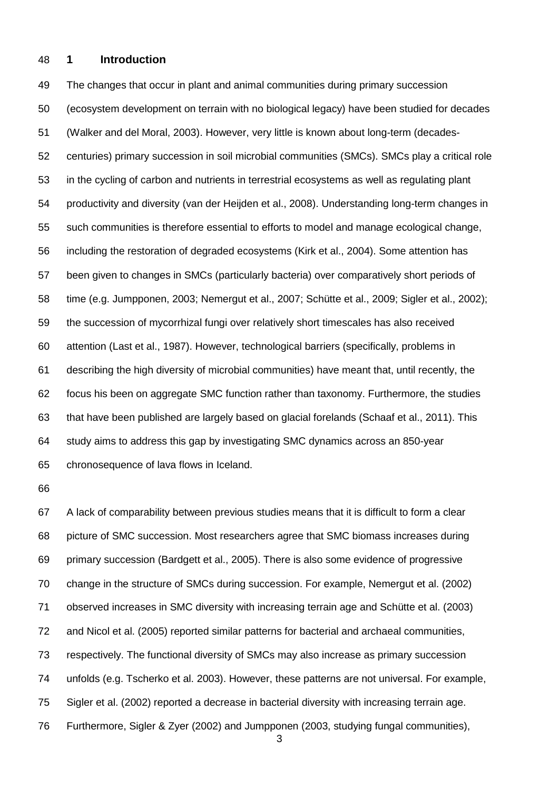### **1 Introduction**

 The changes that occur in plant and animal communities during primary succession (ecosystem development on terrain with no biological legacy) have been studied for decades [\(Walker and del Moral, 2003\)](#page-32-0). However, very little is known about long-term (decades- centuries) primary succession in soil microbial communities (SMCs). SMCs play a critical role in the cycling of carbon and nutrients in terrestrial ecosystems as well as regulating plant productivity and diversity [\(van der Heijden et al., 2008\)](#page-32-1). Understanding long-term changes in such communities is therefore essential to efforts to model and manage ecological change, including the restoration of degraded ecosystems [\(Kirk et al., 2004\)](#page-29-0). Some attention has been given to changes in SMCs (particularly bacteria) over comparatively short periods of time (e.g. [Jumpponen, 2003;](#page-29-1) [Nemergut et al., 2007;](#page-30-0) [Schütte et al., 2009;](#page-31-0) [Sigler et al., 2002\)](#page-31-1); the succession of mycorrhizal fungi over relatively short timescales has also received attention [\(Last et al., 1987\)](#page-29-2). However, technological barriers (specifically, problems in describing the high diversity of microbial communities) have meant that, until recently, the focus his been on aggregate SMC function rather than taxonomy. Furthermore, the studies that have been published are largely based on glacial forelands [\(Schaaf et al., 2011\)](#page-31-2). This study aims to address this gap by investigating SMC dynamics across an 850-year chronosequence of lava flows in Iceland.

 A lack of comparability between previous studies means that it is difficult to form a clear picture of SMC succession. Most researchers agree that SMC biomass increases during primary succession [\(Bardgett et al., 2005\)](#page-27-0). There is also some evidence of progressive change in the structure of SMCs during succession. For example, Nemergut et al. (2002) observed increases in SMC diversity with increasing terrain age and Schütte et al. (2003) and Nicol et al. (2005) reported similar patterns for bacterial and archaeal communities, respectively. The functional diversity of SMCs may also increase as primary succession unfolds (e.g. Tscherko et al. 2003). However, these patterns are not universal. For example, Sigler et al. (2002) reported a decrease in bacterial diversity with increasing terrain age. Furthermore, Sigler & Zyer (2002) and Jumpponen (2003, studying fungal communities),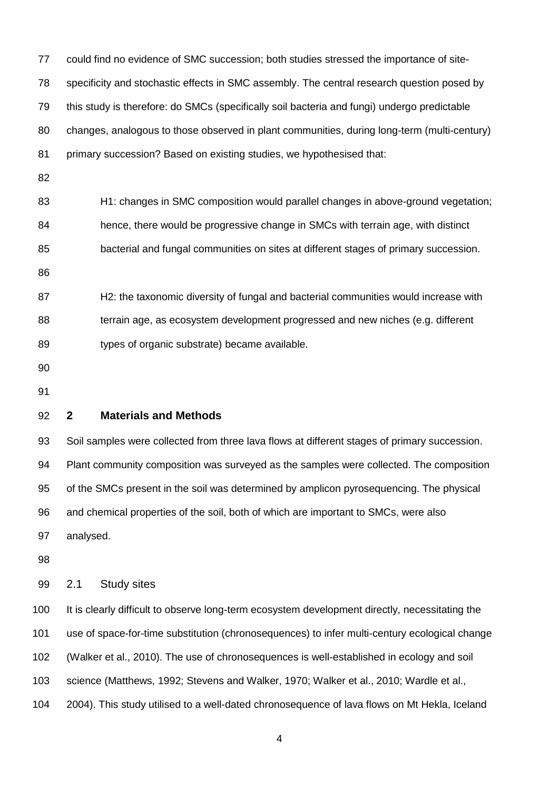| 77  | could find no evidence of SMC succession; both studies stressed the importance of site-        |
|-----|------------------------------------------------------------------------------------------------|
| 78  | specificity and stochastic effects in SMC assembly. The central research question posed by     |
| 79  | this study is therefore: do SMCs (specifically soil bacteria and fungi) undergo predictable    |
| 80  | changes, analogous to those observed in plant communities, during long-term (multi-century)    |
| 81  | primary succession? Based on existing studies, we hypothesised that:                           |
| 82  |                                                                                                |
| 83  | H1: changes in SMC composition would parallel changes in above-ground vegetation;              |
| 84  | hence, there would be progressive change in SMCs with terrain age, with distinct               |
| 85  | bacterial and fungal communities on sites at different stages of primary succession.           |
| 86  |                                                                                                |
| 87  | H2: the taxonomic diversity of fungal and bacterial communities would increase with            |
| 88  | terrain age, as ecosystem development progressed and new niches (e.g. different                |
| 89  | types of organic substrate) became available.                                                  |
| 90  |                                                                                                |
| 91  |                                                                                                |
| 92  | $\mathbf{2}$<br><b>Materials and Methods</b>                                                   |
| 93  | Soil samples were collected from three lava flows at different stages of primary succession.   |
| 94  | Plant community composition was surveyed as the samples were collected. The composition        |
| 95  | of the SMCs present in the soil was determined by amplicon pyrosequencing. The physical        |
| 96  | and chemical properties of the soil, both of which are important to SMCs, were also            |
| 97  | analysed.                                                                                      |
| 98  |                                                                                                |
| 99  | <b>Study sites</b><br>2.1                                                                      |
| 100 | It is clearly difficult to observe long-term ecosystem development directly, necessitating the |
| 101 | use of space-for-time substitution (chronosequences) to infer multi-century ecological change  |
| 102 | (Walker et al., 2010). The use of chronosequences is well-established in ecology and soil      |
| 103 | science (Matthews, 1992; Stevens and Walker, 1970; Walker et al., 2010; Wardle et al.,         |
|     |                                                                                                |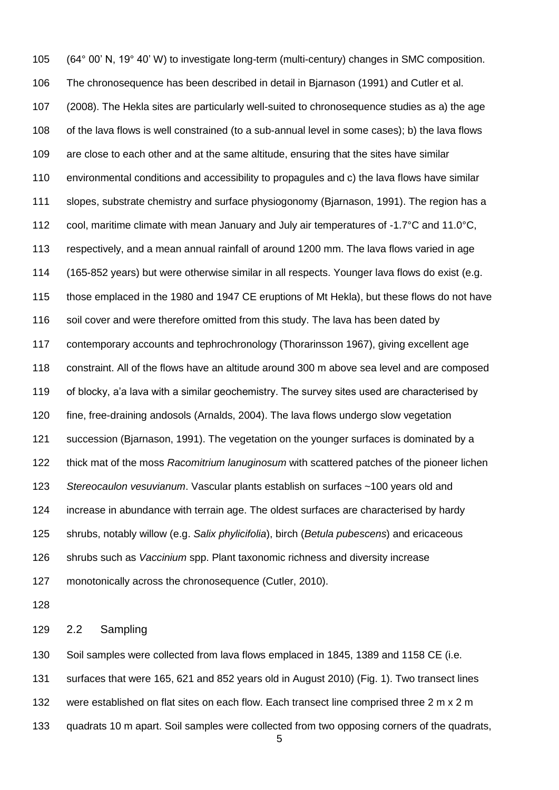(64° 00' N, 19° 40' W) to investigate long-term (multi-century) changes in SMC composition. The chronosequence has been described in detail in Bjarnason (1991) and Cutler et al. (2008). The Hekla sites are particularly well-suited to chronosequence studies as a) the age of the lava flows is well constrained (to a sub-annual level in some cases); b) the lava flows are close to each other and at the same altitude, ensuring that the sites have similar environmental conditions and accessibility to propagules and c) the lava flows have similar slopes, substrate chemistry and surface physiogonomy [\(Bjarnason, 1991\)](#page-27-1). The region has a cool, maritime climate with mean January and July air temperatures of -1.7°C and 11.0°C, respectively, and a mean annual rainfall of around 1200 mm. The lava flows varied in age (165-852 years) but were otherwise similar in all respects. Younger lava flows do exist (e.g. those emplaced in the 1980 and 1947 CE eruptions of Mt Hekla), but these flows do not have 116 soil cover and were therefore omitted from this study. The lava has been dated by contemporary accounts and tephrochronology (Thorarinsson 1967), giving excellent age constraint. All of the flows have an altitude around 300 m above sea level and are composed of blocky, a'a lava with a similar geochemistry. The survey sites used are characterised by fine, free-draining andosols [\(Arnalds, 2004\)](#page-27-2). The lava flows undergo slow vegetation succession [\(Bjarnason, 1991\)](#page-27-1). The vegetation on the younger surfaces is dominated by a thick mat of the moss *Racomitrium lanuginosum* with scattered patches of the pioneer lichen *Stereocaulon vesuvianum*. Vascular plants establish on surfaces ~100 years old and increase in abundance with terrain age. The oldest surfaces are characterised by hardy shrubs, notably willow (e.g. *Salix phylicifolia*), birch (*Betula pubescens*) and ericaceous shrubs such as *Vaccinium* spp. Plant taxonomic richness and diversity increase monotonically across the chronosequence [\(Cutler, 2010\)](#page-28-0).

2.2 Sampling

 Soil samples were collected from lava flows emplaced in 1845, 1389 and 1158 CE (i.e. surfaces that were 165, 621 and 852 years old in August 2010) (Fig. 1). Two transect lines

132 were established on flat sites on each flow. Each transect line comprised three 2 m x 2 m

quadrats 10 m apart. Soil samples were collected from two opposing corners of the quadrats,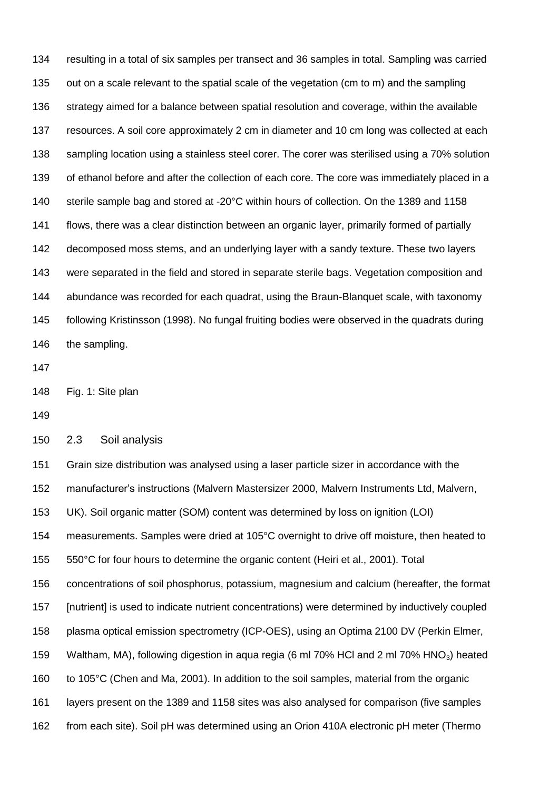resulting in a total of six samples per transect and 36 samples in total. Sampling was carried out on a scale relevant to the spatial scale of the vegetation (cm to m) and the sampling 136 strategy aimed for a balance between spatial resolution and coverage, within the available resources. A soil core approximately 2 cm in diameter and 10 cm long was collected at each 138 sampling location using a stainless steel corer. The corer was sterilised using a 70% solution of ethanol before and after the collection of each core. The core was immediately placed in a sterile sample bag and stored at -20°C within hours of collection. On the 1389 and 1158 flows, there was a clear distinction between an organic layer, primarily formed of partially decomposed moss stems, and an underlying layer with a sandy texture. These two layers were separated in the field and stored in separate sterile bags. Vegetation composition and abundance was recorded for each quadrat, using the Braun-Blanquet scale, with taxonomy following Kristinsson [\(1998\)](#page-29-3). No fungal fruiting bodies were observed in the quadrats during the sampling.

Fig. 1: Site plan

2.3 Soil analysis

 Grain size distribution was analysed using a laser particle sizer in accordance with the manufacturer's instructions (Malvern Mastersizer 2000, Malvern Instruments Ltd, Malvern, UK). Soil organic matter (SOM) content was determined by loss on ignition (LOI) measurements. Samples were dried at 105°C overnight to drive off moisture, then heated to 550°C for four hours to determine the organic content [\(Heiri et al., 2001\)](#page-29-4). Total concentrations of soil phosphorus, potassium, magnesium and calcium (hereafter, the format [nutrient] is used to indicate nutrient concentrations) were determined by inductively coupled plasma optical emission spectrometry (ICP-OES), using an Optima 2100 DV (Perkin Elmer, 159 Waltham, MA), following digestion in aqua regia (6 ml 70% HCl and 2 ml 70% HNO<sub>3</sub>) heated to 105°C [\(Chen and Ma, 2001\)](#page-28-1). In addition to the soil samples, material from the organic layers present on the 1389 and 1158 sites was also analysed for comparison (five samples from each site). Soil pH was determined using an Orion 410A electronic pH meter (Thermo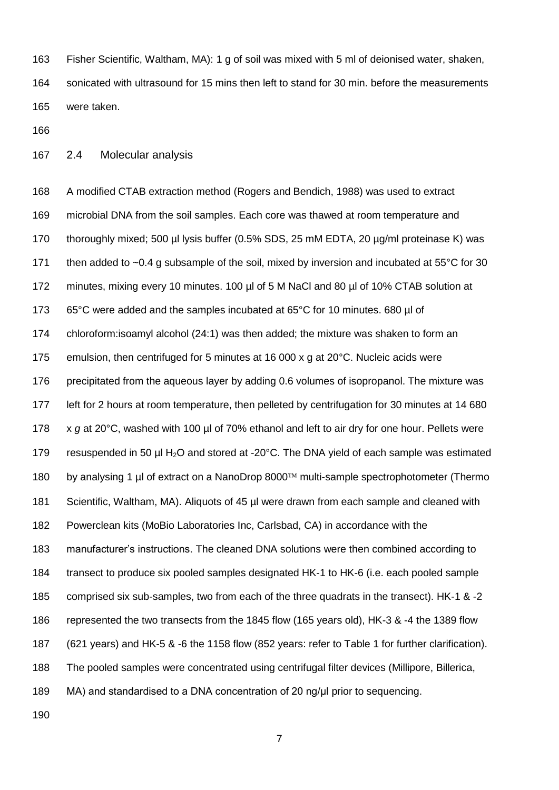Fisher Scientific, Waltham, MA): 1 g of soil was mixed with 5 ml of deionised water, shaken, sonicated with ultrasound for 15 mins then left to stand for 30 min. before the measurements were taken.

2.4 Molecular analysis

 A modified CTAB extraction method [\(Rogers and Bendich, 1988\)](#page-31-3) was used to extract microbial DNA from the soil samples. Each core was thawed at room temperature and 170 thoroughly mixed; 500 µl lysis buffer (0.5% SDS, 25 mM EDTA, 20 µg/ml proteinase K) was 171 then added to ~0.4 g subsample of the soil, mixed by inversion and incubated at 55°C for 30 minutes, mixing every 10 minutes. 100 µl of 5 M NaCl and 80 µl of 10% CTAB solution at 65°C were added and the samples incubated at 65°C for 10 minutes. 680 µl of chloroform:isoamyl alcohol (24:1) was then added; the mixture was shaken to form an emulsion, then centrifuged for 5 minutes at 16 000 x g at 20°C. Nucleic acids were 176 precipitated from the aqueous layer by adding 0.6 volumes of isopropanol. The mixture was left for 2 hours at room temperature, then pelleted by centrifugation for 30 minutes at 14 680 x *g* at 20°C, washed with 100 µl of 70% ethanol and left to air dry for one hour. Pellets were 179 resuspended in 50  $\mu$ I H<sub>2</sub>O and stored at -20 $\degree$ C. The DNA yield of each sample was estimated 180 by analysing 1 µl of extract on a NanoDrop 8000™ multi-sample spectrophotometer (Thermo Scientific, Waltham, MA). Aliquots of 45 µl were drawn from each sample and cleaned with Powerclean kits (MoBio Laboratories Inc, Carlsbad, CA) in accordance with the manufacturer's instructions. The cleaned DNA solutions were then combined according to transect to produce six pooled samples designated HK-1 to HK-6 (i.e. each pooled sample comprised six sub-samples, two from each of the three quadrats in the transect). HK-1 & -2 represented the two transects from the 1845 flow (165 years old), HK-3 & -4 the 1389 flow (621 years) and HK-5 & -6 the 1158 flow (852 years: refer to Table 1 for further clarification). The pooled samples were concentrated using centrifugal filter devices (Millipore, Billerica, MA) and standardised to a DNA concentration of 20 ng/μl prior to sequencing.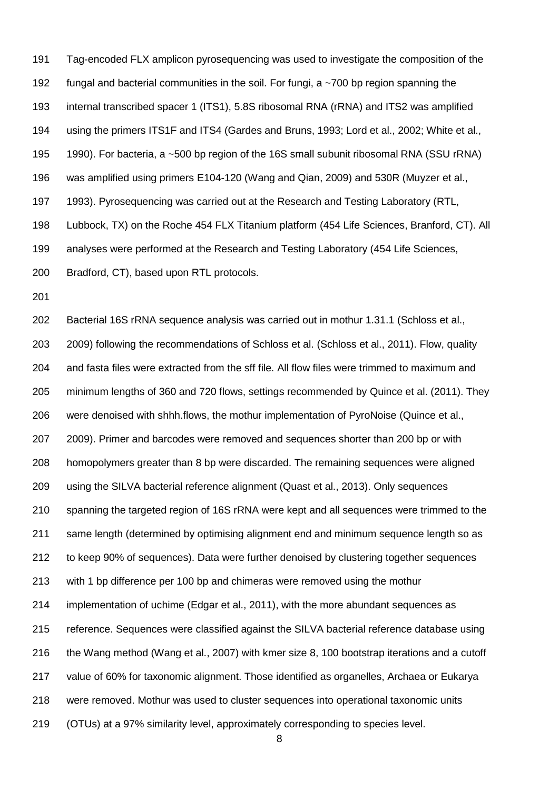Tag-encoded FLX amplicon pyrosequencing was used to investigate the composition of the 192 fungal and bacterial communities in the soil. For fungi, a  $\sim$  700 bp region spanning the internal transcribed spacer 1 (ITS1), 5.8S ribosomal RNA (rRNA) and ITS2 was amplified using the primers ITS1F and ITS4 [\(Gardes and Bruns, 1993;](#page-28-2) [Lord et al., 2002;](#page-29-5) [White et al.,](#page-32-5)  [1990\)](#page-32-5). For bacteria, a ~500 bp region of the 16S small subunit ribosomal RNA (SSU rRNA) was amplified using primers E104-120 [\(Wang and Qian, 2009\)](#page-32-6) and 530R [\(Muyzer et al.,](#page-30-2)  [1993\)](#page-30-2). Pyrosequencing was carried out at the Research and Testing Laboratory (RTL, Lubbock, TX) on the Roche 454 FLX Titanium platform (454 Life Sciences, Branford, CT). All analyses were performed at the Research and Testing Laboratory (454 Life Sciences, Bradford, CT), based upon RTL protocols.

 Bacterial 16S rRNA sequence analysis was carried out in mothur 1.31.1 [\(Schloss et al.,](#page-31-4)  [2009\)](#page-31-4) following the recommendations of Schloss et al. [\(Schloss et al., 2011\)](#page-31-5). Flow, quality and fasta files were extracted from the sff file. All flow files were trimmed to maximum and minimum lengths of 360 and 720 flows, settings recommended by Quince et al. [\(2011\)](#page-31-6). They were denoised with shhh.flows, the mothur implementation of PyroNoise [\(Quince et al.,](#page-30-3)  [2009\)](#page-30-3). Primer and barcodes were removed and sequences shorter than 200 bp or with homopolymers greater than 8 bp were discarded. The remaining sequences were aligned using the SILVA bacterial reference alignment [\(Quast et al., 2013\)](#page-30-4). Only sequences spanning the targeted region of 16S rRNA were kept and all sequences were trimmed to the same length (determined by optimising alignment end and minimum sequence length so as to keep 90% of sequences). Data were further denoised by clustering together sequences with 1 bp difference per 100 bp and chimeras were removed using the mothur implementation of uchime [\(Edgar et al., 2011\)](#page-28-3), with the more abundant sequences as reference. Sequences were classified against the SILVA bacterial reference database using the Wang method [\(Wang et al., 2007\)](#page-32-7) with kmer size 8, 100 bootstrap iterations and a cutoff value of 60% for taxonomic alignment. Those identified as organelles, Archaea or Eukarya were removed. Mothur was used to cluster sequences into operational taxonomic units (OTUs) at a 97% similarity level, approximately corresponding to species level.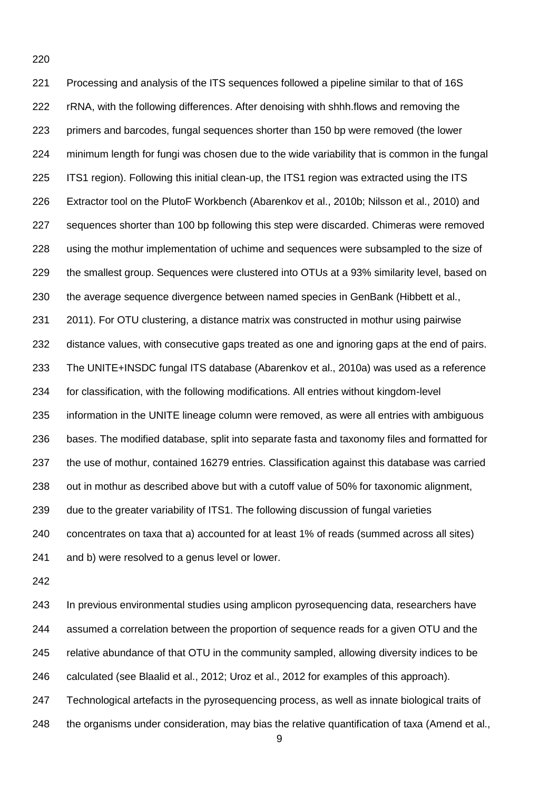Processing and analysis of the ITS sequences followed a pipeline similar to that of 16S rRNA, with the following differences. After denoising with shhh.flows and removing the primers and barcodes, fungal sequences shorter than 150 bp were removed (the lower minimum length for fungi was chosen due to the wide variability that is common in the fungal ITS1 region). Following this initial clean-up, the ITS1 region was extracted using the ITS Extractor tool on the PlutoF Workbench [\(Abarenkov et al., 2010b;](#page-27-3) [Nilsson et al., 2010\)](#page-30-5) and sequences shorter than 100 bp following this step were discarded. Chimeras were removed using the mothur implementation of uchime and sequences were subsampled to the size of the smallest group. Sequences were clustered into OTUs at a 93% similarity level, based on the average sequence divergence between named species in GenBank [\(Hibbett et al.,](#page-29-6)  [2011\)](#page-29-6). For OTU clustering, a distance matrix was constructed in mothur using pairwise distance values, with consecutive gaps treated as one and ignoring gaps at the end of pairs. The UNITE+INSDC fungal ITS database [\(Abarenkov et al., 2010a\)](#page-27-4) was used as a reference for classification, with the following modifications. All entries without kingdom-level information in the UNITE lineage column were removed, as were all entries with ambiguous bases. The modified database, split into separate fasta and taxonomy files and formatted for the use of mothur, contained 16279 entries. Classification against this database was carried out in mothur as described above but with a cutoff value of 50% for taxonomic alignment, due to the greater variability of ITS1. The following discussion of fungal varieties concentrates on taxa that a) accounted for at least 1% of reads (summed across all sites) and b) were resolved to a genus level or lower.

 In previous environmental studies using amplicon pyrosequencing data, researchers have assumed a correlation between the proportion of sequence reads for a given OTU and the relative abundance of that OTU in the community sampled, allowing diversity indices to be calculated (see [Blaalid et al., 2012;](#page-27-5) [Uroz et al., 2012 for examples of this approach\)](#page-32-8). Technological artefacts in the pyrosequencing process, as well as innate biological traits of the organisms under consideration, may bias the relative quantification of taxa [\(Amend et al.,](#page-27-6)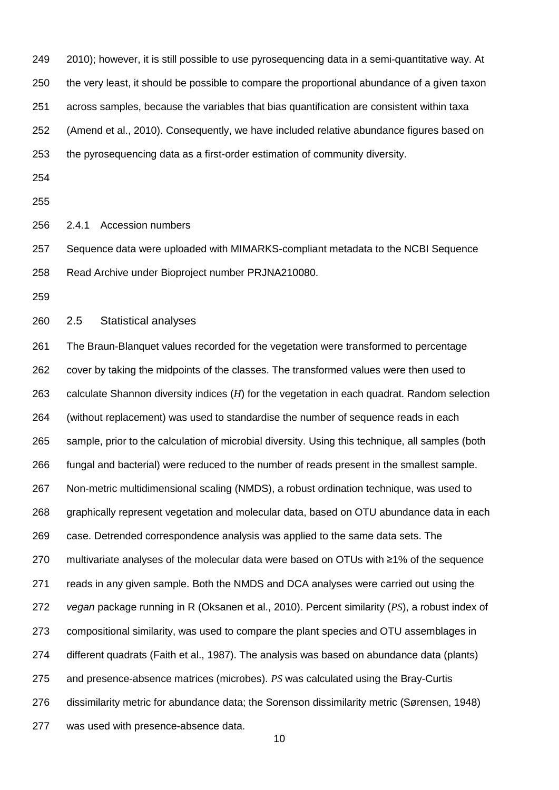2010); however, it is still possible to use pyrosequencing data in a semi-quantitative way. At the very least, it should be possible to compare the proportional abundance of a given taxon across samples, because the variables that bias quantification are consistent within taxa [\(Amend et al., 2010\)](#page-27-6). Consequently, we have included relative abundance figures based on the pyrosequencing data as a first-order estimation of community diversity.

- 
- 

2.4.1 Accession numbers

 Sequence data were uploaded with MIMARKS-compliant metadata to the NCBI Sequence Read Archive under Bioproject number PRJNA210080.

2.5 Statistical analyses

 The Braun-Blanquet values recorded for the vegetation were transformed to percentage cover by taking the midpoints of the classes. The transformed values were then used to calculate Shannon diversity indices (*H*) for the vegetation in each quadrat. Random selection (without replacement) was used to standardise the number of sequence reads in each sample, prior to the calculation of microbial diversity. Using this technique, all samples (both fungal and bacterial) were reduced to the number of reads present in the smallest sample. Non-metric multidimensional scaling (NMDS), a robust ordination technique, was used to graphically represent vegetation and molecular data, based on OTU abundance data in each case. Detrended correspondence analysis was applied to the same data sets. The multivariate analyses of the molecular data were based on OTUs with ≥1% of the sequence reads in any given sample. Both the NMDS and DCA analyses were carried out using the *vegan* package running in R [\(Oksanen et al., 2010\)](#page-30-6). Percent similarity (*PS*), a robust index of compositional similarity, was used to compare the plant species and OTU assemblages in different quadrats [\(Faith et al., 1987\)](#page-28-4). The analysis was based on abundance data (plants) and presence-absence matrices (microbes). *PS* was calculated using the Bray-Curtis dissimilarity metric for abundance data; the Sorenson dissimilarity metric [\(Sørensen, 1948\)](#page-31-7) was used with presence-absence data.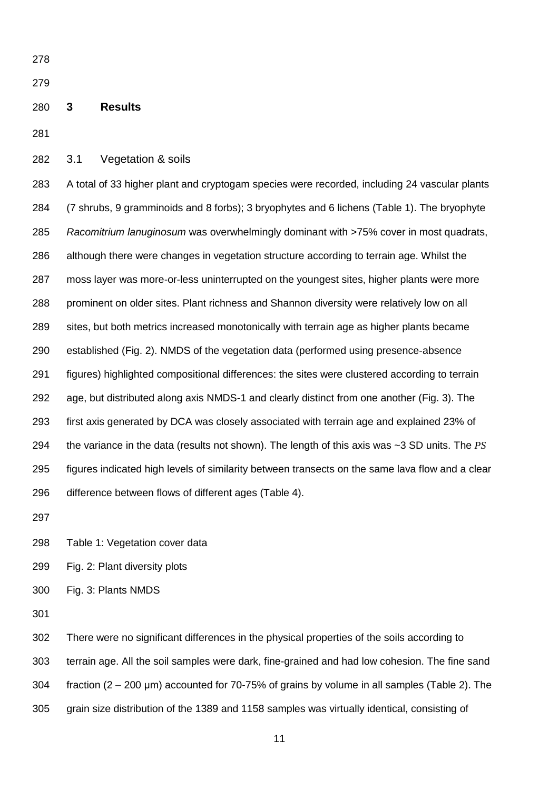### **3 Results**

3.1 Vegetation & soils

 A total of 33 higher plant and cryptogam species were recorded, including 24 vascular plants (7 shrubs, 9 gramminoids and 8 forbs); 3 bryophytes and 6 lichens (Table 1). The bryophyte *Racomitrium lanuginosum* was overwhelmingly dominant with >75% cover in most quadrats, although there were changes in vegetation structure according to terrain age. Whilst the moss layer was more-or-less uninterrupted on the youngest sites, higher plants were more prominent on older sites. Plant richness and Shannon diversity were relatively low on all sites, but both metrics increased monotonically with terrain age as higher plants became established (Fig. 2). NMDS of the vegetation data (performed using presence-absence figures) highlighted compositional differences: the sites were clustered according to terrain age, but distributed along axis NMDS-1 and clearly distinct from one another (Fig. 3). The first axis generated by DCA was closely associated with terrain age and explained 23% of the variance in the data (results not shown). The length of this axis was ~3 SD units. The *PS* figures indicated high levels of similarity between transects on the same lava flow and a clear difference between flows of different ages (Table 4).

Table 1: Vegetation cover data

Fig. 2: Plant diversity plots

Fig. 3: Plants NMDS

 There were no significant differences in the physical properties of the soils according to terrain age. All the soil samples were dark, fine-grained and had low cohesion. The fine sand fraction (2 – 200 μm) accounted for 70-75% of grains by volume in all samples (Table 2). The grain size distribution of the 1389 and 1158 samples was virtually identical, consisting of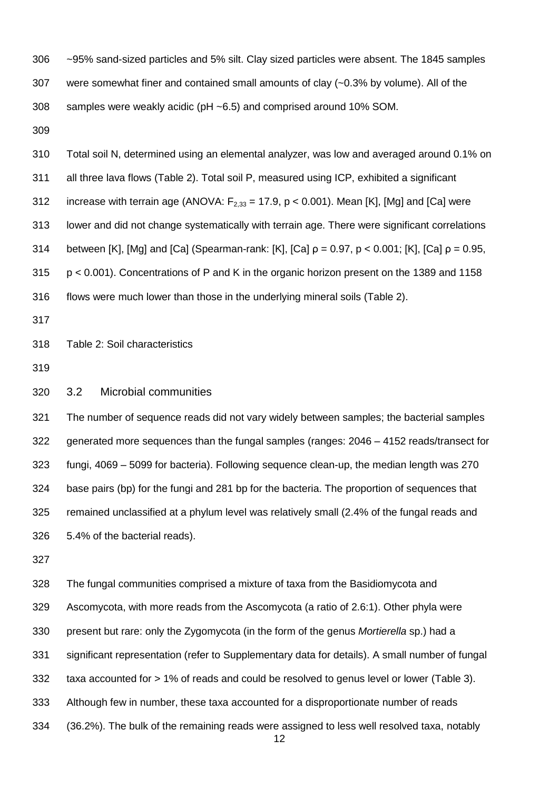- ~95% sand-sized particles and 5% silt. Clay sized particles were absent. The 1845 samples were somewhat finer and contained small amounts of clay (~0.3% by volume). All of the samples were weakly acidic (pH ~6.5) and comprised around 10% SOM.
- 

 Total soil N, determined using an elemental analyzer, was low and averaged around 0.1% on all three lava flows (Table 2). Total soil P, measured using ICP, exhibited a significant 312 increase with terrain age (ANOVA:  $F_{2,33} = 17.9$ , p < 0.001). Mean [K], [Mg] and [Ca] were lower and did not change systematically with terrain age. There were significant correlations 314 between [K], [Mg] and [Ca] (Spearman-rank: [K], [Ca]  $\rho = 0.97$ ,  $p < 0.001$ ; [K], [Ca]  $\rho = 0.95$ , p < 0.001). Concentrations of P and K in the organic horizon present on the 1389 and 1158 flows were much lower than those in the underlying mineral soils (Table 2).

Table 2: Soil characteristics

3.2 Microbial communities

 The number of sequence reads did not vary widely between samples; the bacterial samples generated more sequences than the fungal samples (ranges: 2046 – 4152 reads/transect for fungi, 4069 – 5099 for bacteria). Following sequence clean-up, the median length was 270 base pairs (bp) for the fungi and 281 bp for the bacteria. The proportion of sequences that remained unclassified at a phylum level was relatively small (2.4% of the fungal reads and 5.4% of the bacterial reads).

 The fungal communities comprised a mixture of taxa from the Basidiomycota and Ascomycota, with more reads from the Ascomycota (a ratio of 2.6:1). Other phyla were present but rare: only the Zygomycota (in the form of the genus *Mortierella* sp.) had a significant representation (refer to Supplementary data for details). A small number of fungal taxa accounted for > 1% of reads and could be resolved to genus level or lower (Table 3). Although few in number, these taxa accounted for a disproportionate number of reads (36.2%). The bulk of the remaining reads were assigned to less well resolved taxa, notably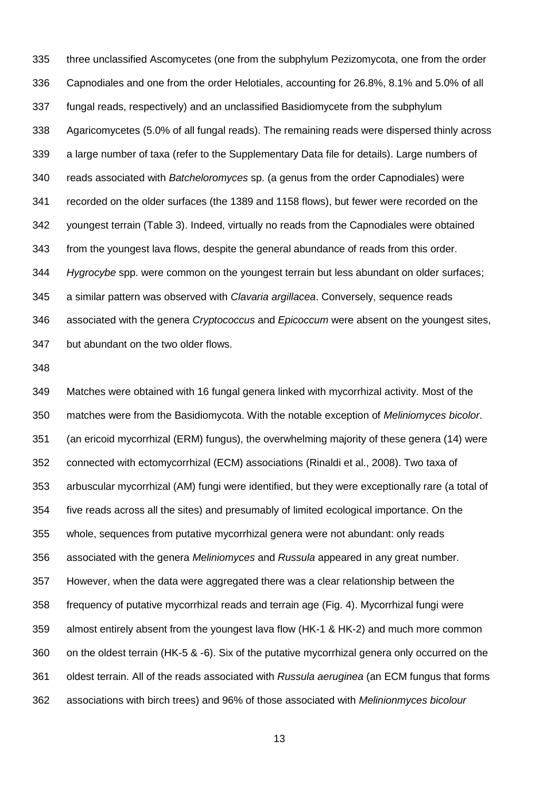three unclassified Ascomycetes (one from the subphylum Pezizomycota, one from the order Capnodiales and one from the order Helotiales, accounting for 26.8%, 8.1% and 5.0% of all fungal reads, respectively) and an unclassified Basidiomycete from the subphylum Agaricomycetes (5.0% of all fungal reads). The remaining reads were dispersed thinly across a large number of taxa (refer to the Supplementary Data file for details). Large numbers of reads associated with *Batcheloromyces* sp. (a genus from the order Capnodiales) were recorded on the older surfaces (the 1389 and 1158 flows), but fewer were recorded on the youngest terrain (Table 3). Indeed, virtually no reads from the Capnodiales were obtained from the youngest lava flows, despite the general abundance of reads from this order. *Hygrocybe* spp. were common on the youngest terrain but less abundant on older surfaces; a similar pattern was observed with *Clavaria argillacea*. Conversely, sequence reads associated with the genera *Cryptococcus* and *Epicoccum* were absent on the youngest sites, but abundant on the two older flows.

 Matches were obtained with 16 fungal genera linked with mycorrhizal activity. Most of the matches were from the Basidiomycota. With the notable exception of *Meliniomyces bicolor*. (an ericoid mycorrhizal (ERM) fungus), the overwhelming majority of these genera (14) were connected with ectomycorrhizal (ECM) associations [\(Rinaldi et al., 2008\)](#page-31-8). Two taxa of arbuscular mycorrhizal (AM) fungi were identified, but they were exceptionally rare (a total of five reads across all the sites) and presumably of limited ecological importance. On the whole, sequences from putative mycorrhizal genera were not abundant: only reads associated with the genera *Meliniomyces* and *Russula* appeared in any great number. However, when the data were aggregated there was a clear relationship between the frequency of putative mycorrhizal reads and terrain age (Fig. 4). Mycorrhizal fungi were almost entirely absent from the youngest lava flow (HK-1 & HK-2) and much more common on the oldest terrain (HK-5 & -6). Six of the putative mycorrhizal genera only occurred on the oldest terrain. All of the reads associated with *Russula aeruginea* (an ECM fungus that forms associations with birch trees) and 96% of those associated with *Melinionmyces bicolour*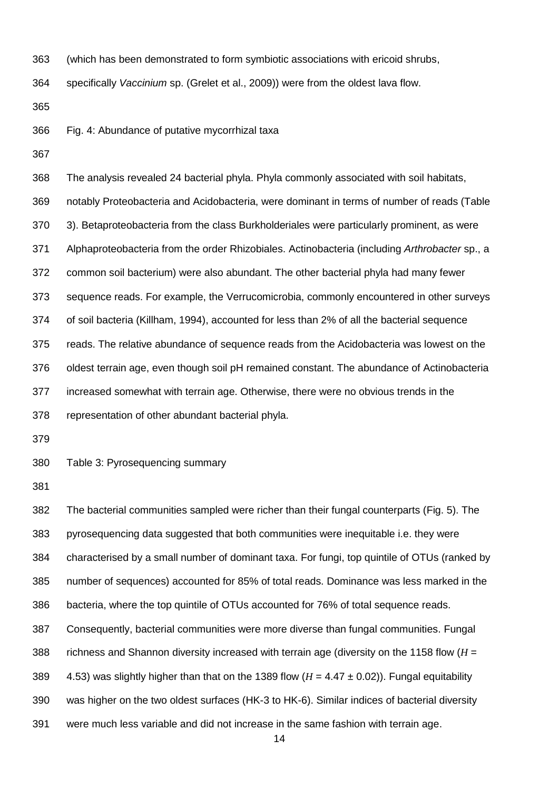(which has been demonstrated to form symbiotic associations with ericoid shrubs,

specifically *Vaccinium* sp. [\(Grelet et al., 2009\)](#page-28-5)) were from the oldest lava flow.

- Fig. 4: Abundance of putative mycorrhizal taxa
- 

 The analysis revealed 24 bacterial phyla. Phyla commonly associated with soil habitats, notably Proteobacteria and Acidobacteria, were dominant in terms of number of reads (Table 3). Betaproteobacteria from the class Burkholderiales were particularly prominent, as were Alphaproteobacteria from the order Rhizobiales. Actinobacteria (including *Arthrobacter* sp., a common soil bacterium) were also abundant. The other bacterial phyla had many fewer sequence reads. For example, the Verrucomicrobia, commonly encountered in other surveys of soil bacteria [\(Killham, 1994\)](#page-29-7), accounted for less than 2% of all the bacterial sequence reads. The relative abundance of sequence reads from the Acidobacteria was lowest on the oldest terrain age, even though soil pH remained constant. The abundance of Actinobacteria increased somewhat with terrain age. Otherwise, there were no obvious trends in the representation of other abundant bacterial phyla.

Table 3: Pyrosequencing summary

 The bacterial communities sampled were richer than their fungal counterparts (Fig. 5). The pyrosequencing data suggested that both communities were inequitable i.e. they were characterised by a small number of dominant taxa. For fungi, top quintile of OTUs (ranked by number of sequences) accounted for 85% of total reads. Dominance was less marked in the bacteria, where the top quintile of OTUs accounted for 76% of total sequence reads. Consequently, bacterial communities were more diverse than fungal communities. Fungal richness and Shannon diversity increased with terrain age (diversity on the 1158 flow (*H* =  $4.53$ ) was slightly higher than that on the 1389 flow  $(H = 4.47 \pm 0.02)$ ). Fungal equitability was higher on the two oldest surfaces (HK-3 to HK-6). Similar indices of bacterial diversity were much less variable and did not increase in the same fashion with terrain age.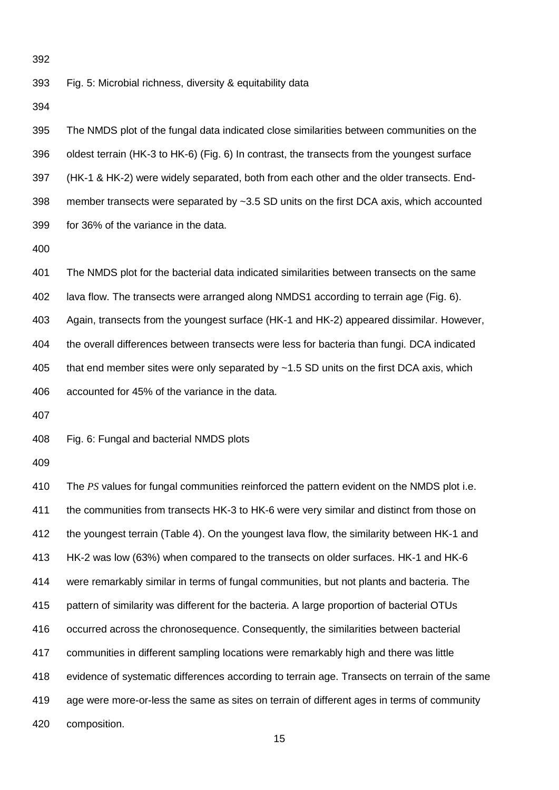Fig. 5: Microbial richness, diversity & equitability data

 The NMDS plot of the fungal data indicated close similarities between communities on the oldest terrain (HK-3 to HK-6) (Fig. 6) In contrast, the transects from the youngest surface (HK-1 & HK-2) were widely separated, both from each other and the older transects. End- member transects were separated by ~3.5 SD units on the first DCA axis, which accounted for 36% of the variance in the data. The NMDS plot for the bacterial data indicated similarities between transects on the same lava flow. The transects were arranged along NMDS1 according to terrain age (Fig. 6). Again, transects from the youngest surface (HK-1 and HK-2) appeared dissimilar. However, the overall differences between transects were less for bacteria than fungi. DCA indicated 405 that end member sites were only separated by ~1.5 SD units on the first DCA axis, which accounted for 45% of the variance in the data. Fig. 6: Fungal and bacterial NMDS plots The *PS* values for fungal communities reinforced the pattern evident on the NMDS plot i.e. the communities from transects HK-3 to HK-6 were very similar and distinct from those on 412 the youngest terrain (Table 4). On the youngest lava flow, the similarity between HK-1 and HK-2 was low (63%) when compared to the transects on older surfaces. HK-1 and HK-6 were remarkably similar in terms of fungal communities, but not plants and bacteria. The pattern of similarity was different for the bacteria. A large proportion of bacterial OTUs occurred across the chronosequence. Consequently, the similarities between bacterial communities in different sampling locations were remarkably high and there was little evidence of systematic differences according to terrain age. Transects on terrain of the same age were more-or-less the same as sites on terrain of different ages in terms of community

composition.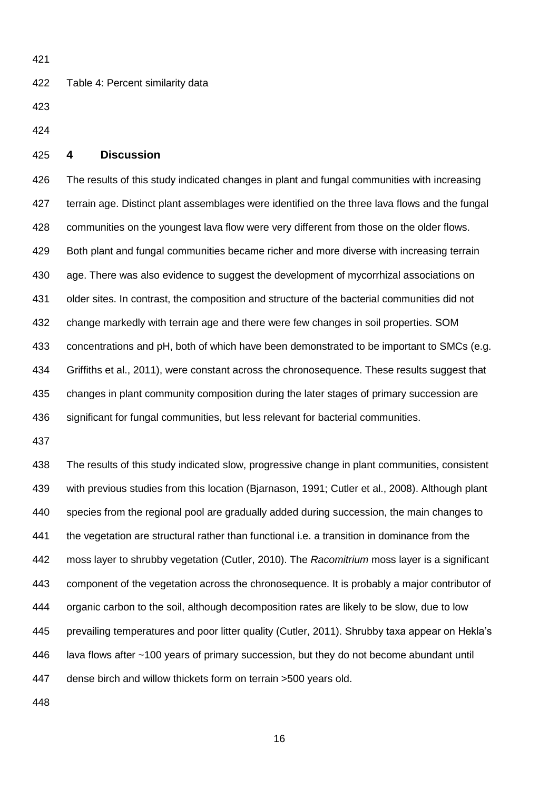Table 4: Percent similarity data

# **4 Discussion**

 The results of this study indicated changes in plant and fungal communities with increasing terrain age. Distinct plant assemblages were identified on the three lava flows and the fungal communities on the youngest lava flow were very different from those on the older flows. Both plant and fungal communities became richer and more diverse with increasing terrain age. There was also evidence to suggest the development of mycorrhizal associations on older sites. In contrast, the composition and structure of the bacterial communities did not change markedly with terrain age and there were few changes in soil properties. SOM 433 concentrations and pH, both of which have been demonstrated to be important to SMCs (e.g. [Griffiths et al., 2011\)](#page-28-6), were constant across the chronosequence. These results suggest that changes in plant community composition during the later stages of primary succession are significant for fungal communities, but less relevant for bacterial communities.

 The results of this study indicated slow, progressive change in plant communities, consistent with previous studies from this location [\(Bjarnason, 1991;](#page-27-1) [Cutler et al., 2008\)](#page-28-7). Although plant species from the regional pool are gradually added during succession, the main changes to the vegetation are structural rather than functional i.e. a transition in dominance from the moss layer to shrubby vegetation [\(Cutler, 2010\)](#page-28-0). The *Racomitrium* moss layer is a significant component of the vegetation across the chronosequence. It is probably a major contributor of organic carbon to the soil, although decomposition rates are likely to be slow, due to low prevailing temperatures and poor litter quality [\(Cutler, 2011\)](#page-28-8). Shrubby taxa appear on Hekla's lava flows after ~100 years of primary succession, but they do not become abundant until dense birch and willow thickets form on terrain >500 years old.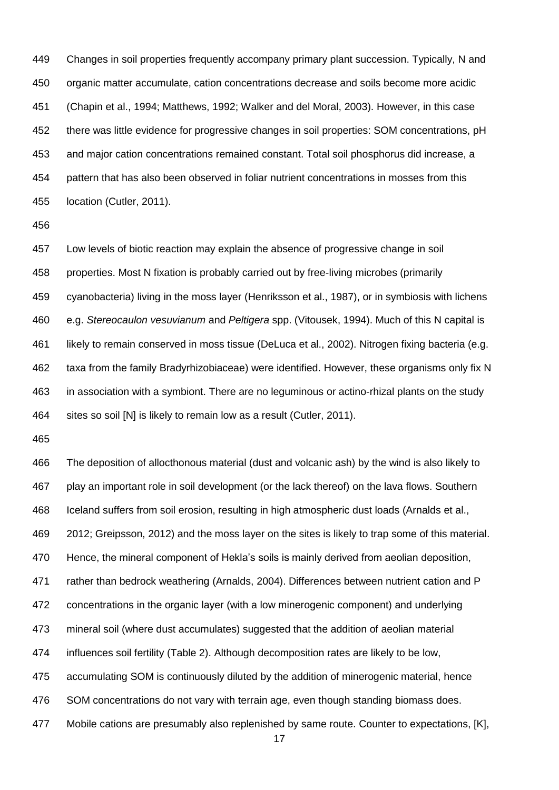Changes in soil properties frequently accompany primary plant succession. Typically, N and organic matter accumulate, cation concentrations decrease and soils become more acidic [\(Chapin et al., 1994;](#page-28-9) [Matthews, 1992;](#page-30-1) [Walker and del Moral, 2003\)](#page-32-0). However, in this case there was little evidence for progressive changes in soil properties: SOM concentrations, pH and major cation concentrations remained constant. Total soil phosphorus did increase, a pattern that has also been observed in foliar nutrient concentrations in mosses from this location [\(Cutler, 2011\)](#page-28-8).

 Low levels of biotic reaction may explain the absence of progressive change in soil properties. Most N fixation is probably carried out by free-living microbes (primarily cyanobacteria) living in the moss layer [\(Henriksson et al., 1987\)](#page-29-8), or in symbiosis with lichens e.g. *Stereocaulon vesuvianum* and *Peltigera* spp. [\(Vitousek, 1994\)](#page-32-9). Much of this N capital is likely to remain conserved in moss tissue [\(DeLuca et al., 2002\)](#page-28-10). Nitrogen fixing bacteria (e.g. taxa from the family Bradyrhizobiaceae) were identified. However, these organisms only fix N in association with a symbiont. There are no leguminous or actino-rhizal plants on the study 464 sites so soil [N] is likely to remain low as a result [\(Cutler, 2011\)](#page-28-8).

 The deposition of allocthonous material (dust and volcanic ash) by the wind is also likely to play an important role in soil development (or the lack thereof) on the lava flows. Southern Iceland suffers from soil erosion, resulting in high atmospheric dust loads [\(Arnalds et al.,](#page-27-7)  [2012;](#page-27-7) [Greipsson, 2012\)](#page-28-11) and the moss layer on the sites is likely to trap some of this material. Hence, the mineral component of Hekla's soils is mainly derived from aeolian deposition, rather than bedrock weathering [\(Arnalds, 2004\)](#page-27-2). Differences between nutrient cation and P concentrations in the organic layer (with a low minerogenic component) and underlying mineral soil (where dust accumulates) suggested that the addition of aeolian material influences soil fertility (Table 2). Although decomposition rates are likely to be low, accumulating SOM is continuously diluted by the addition of minerogenic material, hence SOM concentrations do not vary with terrain age, even though standing biomass does. 477 Mobile cations are presumably also replenished by same route. Counter to expectations, [K],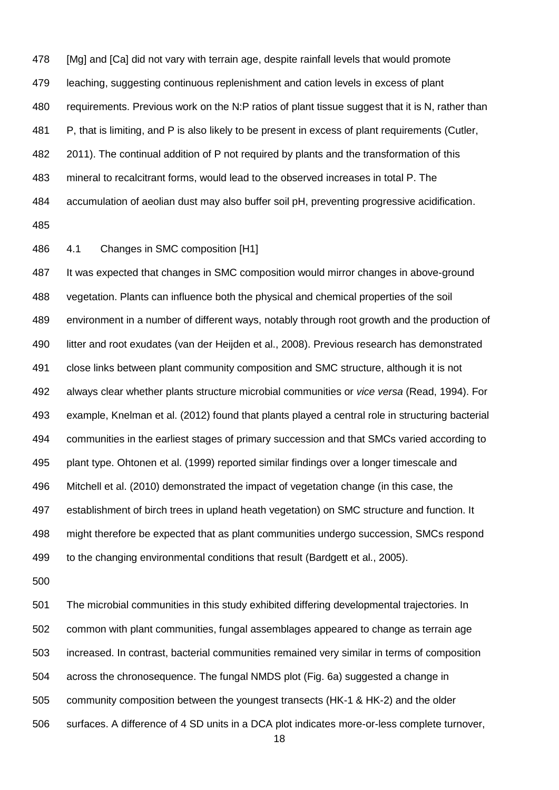478 [Mg] and [Ca] did not vary with terrain age, despite rainfall levels that would promote leaching, suggesting continuous replenishment and cation levels in excess of plant requirements. Previous work on the N:P ratios of plant tissue suggest that it is N, rather than 481 P, that is limiting, and P is also likely to be present in excess of plant requirements (Cutler, [2011\)](#page-28-8). The continual addition of P not required by plants and the transformation of this mineral to recalcitrant forms, would lead to the observed increases in total P. The accumulation of aeolian dust may also buffer soil pH, preventing progressive acidification. 

4.1 Changes in SMC composition [H1]

 It was expected that changes in SMC composition would mirror changes in above-ground vegetation. Plants can influence both the physical and chemical properties of the soil environment in a number of different ways, notably through root growth and the production of litter and root exudates [\(van der Heijden et al., 2008\)](#page-32-1). Previous research has demonstrated close links between plant community composition and SMC structure, although it is not always clear whether plants structure microbial communities or *vice versa* [\(Read, 1994\)](#page-31-9). For example, Knelman et al. [\(2012\)](#page-29-9) found that plants played a central role in structuring bacterial communities in the earliest stages of primary succession and that SMCs varied according to plant type. Ohtonen et al. [\(1999\)](#page-30-7) reported similar findings over a longer timescale and Mitchell et al. [\(2010\)](#page-30-8) demonstrated the impact of vegetation change (in this case, the establishment of birch trees in upland heath vegetation) on SMC structure and function. It might therefore be expected that as plant communities undergo succession, SMCs respond to the changing environmental conditions that result [\(Bardgett et al., 2005\)](#page-27-0).

 The microbial communities in this study exhibited differing developmental trajectories. In common with plant communities, fungal assemblages appeared to change as terrain age increased. In contrast, bacterial communities remained very similar in terms of composition across the chronosequence. The fungal NMDS plot (Fig. 6a) suggested a change in community composition between the youngest transects (HK-1 & HK-2) and the older surfaces. A difference of 4 SD units in a DCA plot indicates more-or-less complete turnover,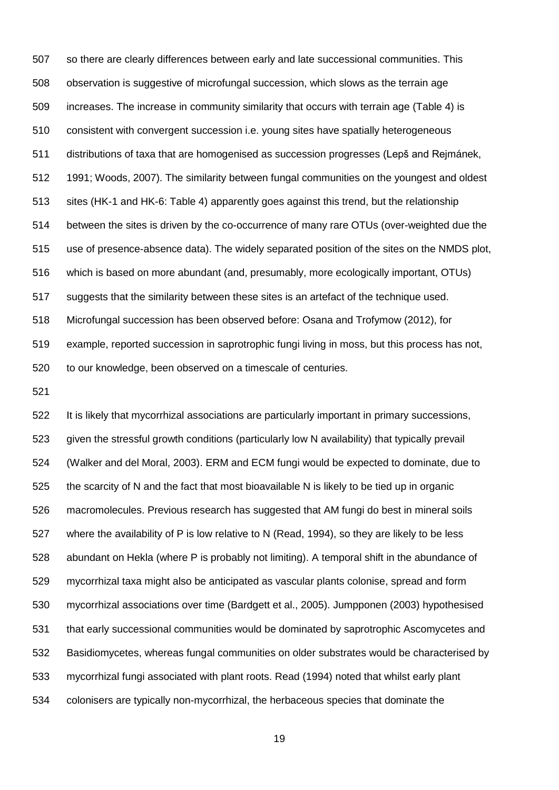so there are clearly differences between early and late successional communities. This observation is suggestive of microfungal succession, which slows as the terrain age increases. The increase in community similarity that occurs with terrain age (Table 4) is consistent with convergent succession i.e. young sites have spatially heterogeneous distributions of taxa that are homogenised as succession progresses [\(Lepš and Rejmánek,](#page-29-10)  [1991;](#page-29-10) [Woods, 2007\)](#page-33-0). The similarity between fungal communities on the youngest and oldest sites (HK-1 and HK-6: Table 4) apparently goes against this trend, but the relationship between the sites is driven by the co-occurrence of many rare OTUs (over-weighted due the use of presence-absence data). The widely separated position of the sites on the NMDS plot, which is based on more abundant (and, presumably, more ecologically important, OTUs) suggests that the similarity between these sites is an artefact of the technique used. Microfungal succession has been observed before: Osana and Trofymow [\(2012\)](#page-30-9), for example, reported succession in saprotrophic fungi living in moss, but this process has not, to our knowledge, been observed on a timescale of centuries.

 It is likely that mycorrhizal associations are particularly important in primary successions, given the stressful growth conditions (particularly low N availability) that typically prevail [\(Walker and del Moral, 2003\)](#page-32-0). ERM and ECM fungi would be expected to dominate, due to the scarcity of N and the fact that most bioavailable N is likely to be tied up in organic macromolecules. Previous research has suggested that AM fungi do best in mineral soils where the availability of P is low relative to N [\(Read, 1994\)](#page-31-9), so they are likely to be less abundant on Hekla (where P is probably not limiting). A temporal shift in the abundance of mycorrhizal taxa might also be anticipated as vascular plants colonise, spread and form mycorrhizal associations over time [\(Bardgett et al., 2005\)](#page-27-0). Jumpponen [\(2003\)](#page-29-1) hypothesised that early successional communities would be dominated by saprotrophic Ascomycetes and Basidiomycetes, whereas fungal communities on older substrates would be characterised by mycorrhizal fungi associated with plant roots. Read [\(1994\)](#page-31-9) noted that whilst early plant colonisers are typically non-mycorrhizal, the herbaceous species that dominate the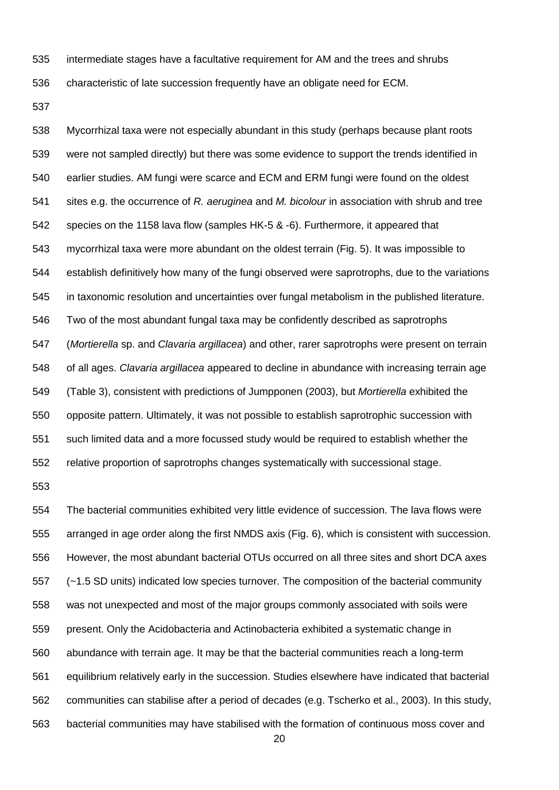intermediate stages have a facultative requirement for AM and the trees and shrubs

characteristic of late succession frequently have an obligate need for ECM.

 Mycorrhizal taxa were not especially abundant in this study (perhaps because plant roots were not sampled directly) but there was some evidence to support the trends identified in earlier studies. AM fungi were scarce and ECM and ERM fungi were found on the oldest sites e.g. the occurrence of *R. aeruginea* and *M. bicolour* in association with shrub and tree species on the 1158 lava flow (samples HK-5 & -6). Furthermore, it appeared that mycorrhizal taxa were more abundant on the oldest terrain (Fig. 5). It was impossible to establish definitively how many of the fungi observed were saprotrophs, due to the variations in taxonomic resolution and uncertainties over fungal metabolism in the published literature. Two of the most abundant fungal taxa may be confidently described as saprotrophs (*Mortierella* sp. and *Clavaria argillacea*) and other, rarer saprotrophs were present on terrain of all ages. *Clavaria argillacea* appeared to decline in abundance with increasing terrain age (Table 3), consistent with predictions of Jumpponen [\(2003\)](#page-29-1), but *Mortierella* exhibited the opposite pattern. Ultimately, it was not possible to establish saprotrophic succession with such limited data and a more focussed study would be required to establish whether the relative proportion of saprotrophs changes systematically with successional stage.

 The bacterial communities exhibited very little evidence of succession. The lava flows were arranged in age order along the first NMDS axis (Fig. 6), which is consistent with succession. However, the most abundant bacterial OTUs occurred on all three sites and short DCA axes (~1.5 SD units) indicated low species turnover. The composition of the bacterial community was not unexpected and most of the major groups commonly associated with soils were present. Only the Acidobacteria and Actinobacteria exhibited a systematic change in abundance with terrain age. It may be that the bacterial communities reach a long-term equilibrium relatively early in the succession. Studies elsewhere have indicated that bacterial communities can stabilise after a period of decades [\(e.g. Tscherko et al., 2003\)](#page-32-10). In this study, bacterial communities may have stabilised with the formation of continuous moss cover and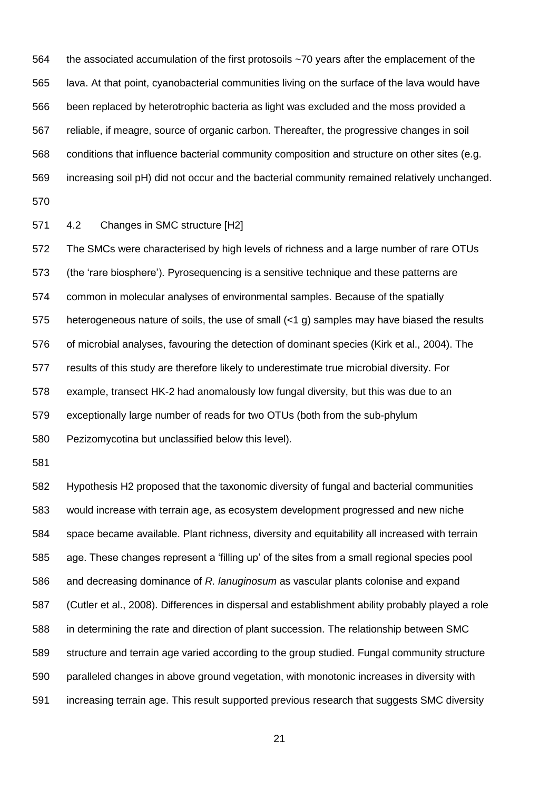the associated accumulation of the first protosoils ~70 years after the emplacement of the lava. At that point, cyanobacterial communities living on the surface of the lava would have been replaced by heterotrophic bacteria as light was excluded and the moss provided a reliable, if meagre, source of organic carbon. Thereafter, the progressive changes in soil conditions that influence bacterial community composition and structure on other sites (e.g. increasing soil pH) did not occur and the bacterial community remained relatively unchanged.

4.2 Changes in SMC structure [H2]

 The SMCs were characterised by high levels of richness and a large number of rare OTUs (the 'rare biosphere'). Pyrosequencing is a sensitive technique and these patterns are common in molecular analyses of environmental samples. Because of the spatially heterogeneous nature of soils, the use of small (<1 g) samples may have biased the results of microbial analyses, favouring the detection of dominant species [\(Kirk et al., 2004\)](#page-29-0). The results of this study are therefore likely to underestimate true microbial diversity. For example, transect HK-2 had anomalously low fungal diversity, but this was due to an exceptionally large number of reads for two OTUs (both from the sub-phylum Pezizomycotina but unclassified below this level)*.*

 Hypothesis H2 proposed that the taxonomic diversity of fungal and bacterial communities would increase with terrain age, as ecosystem development progressed and new niche space became available. Plant richness, diversity and equitability all increased with terrain age. These changes represent a 'filling up' of the sites from a small regional species pool and decreasing dominance of *R. lanuginosum* as vascular plants colonise and expand [\(Cutler et al., 2008\)](#page-28-7). Differences in dispersal and establishment ability probably played a role in determining the rate and direction of plant succession. The relationship between SMC structure and terrain age varied according to the group studied. Fungal community structure paralleled changes in above ground vegetation, with monotonic increases in diversity with increasing terrain age. This result supported previous research that suggests SMC diversity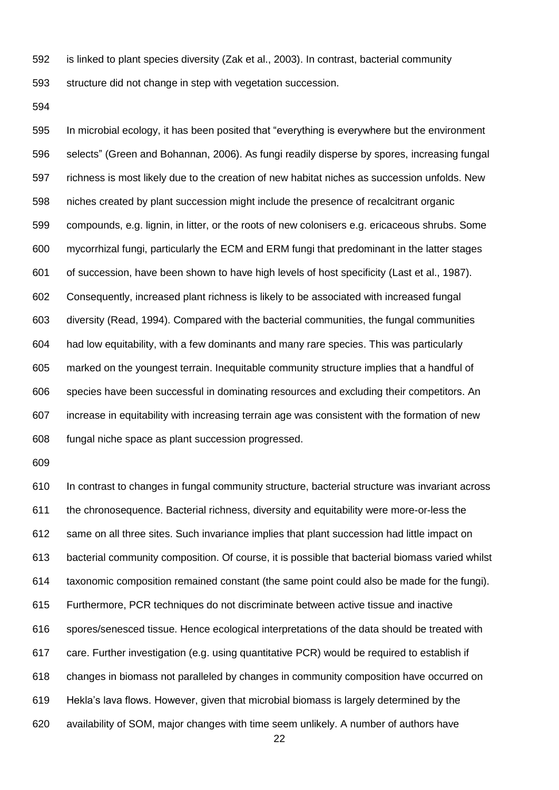is linked to plant species diversity [\(Zak et al., 2003\)](#page-33-1). In contrast, bacterial community

structure did not change in step with vegetation succession.

 In microbial ecology, it has been posited that "everything is everywhere but the environment selects" [\(Green and Bohannan, 2006\)](#page-28-12). As fungi readily disperse by spores, increasing fungal richness is most likely due to the creation of new habitat niches as succession unfolds. New niches created by plant succession might include the presence of recalcitrant organic compounds, e.g. lignin, in litter, or the roots of new colonisers e.g. ericaceous shrubs. Some mycorrhizal fungi, particularly the ECM and ERM fungi that predominant in the latter stages of succession, have been shown to have high levels of host specificity [\(Last et al., 1987\)](#page-29-2). Consequently, increased plant richness is likely to be associated with increased fungal diversity [\(Read, 1994\)](#page-31-9). Compared with the bacterial communities, the fungal communities had low equitability, with a few dominants and many rare species. This was particularly marked on the youngest terrain. Inequitable community structure implies that a handful of species have been successful in dominating resources and excluding their competitors. An increase in equitability with increasing terrain age was consistent with the formation of new fungal niche space as plant succession progressed.

 In contrast to changes in fungal community structure, bacterial structure was invariant across the chronosequence. Bacterial richness, diversity and equitability were more-or-less the same on all three sites. Such invariance implies that plant succession had little impact on bacterial community composition. Of course, it is possible that bacterial biomass varied whilst taxonomic composition remained constant (the same point could also be made for the fungi). Furthermore, PCR techniques do not discriminate between active tissue and inactive spores/senesced tissue. Hence ecological interpretations of the data should be treated with care. Further investigation (e.g. using quantitative PCR) would be required to establish if changes in biomass not paralleled by changes in community composition have occurred on Hekla's lava flows. However, given that microbial biomass is largely determined by the availability of SOM, major changes with time seem unlikely. A number of authors have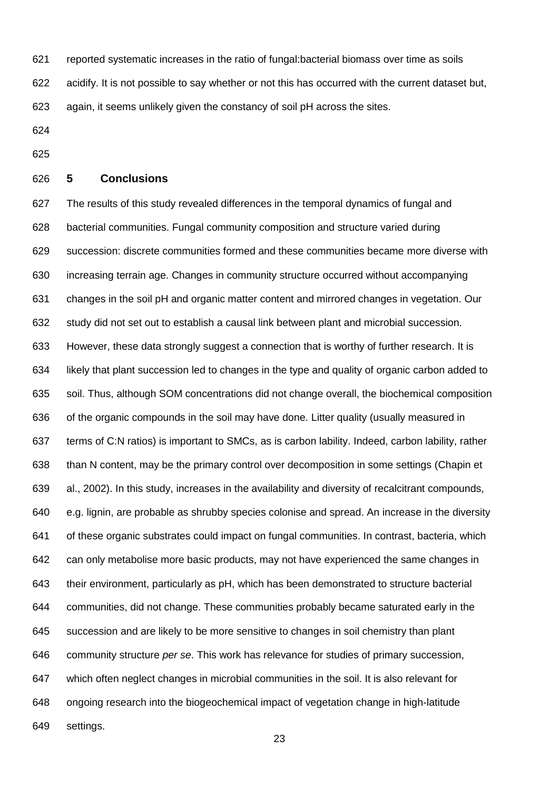- reported systematic increases in the ratio of fungal:bacterial biomass over time as soils
- acidify. It is not possible to say whether or not this has occurred with the current dataset but,
- again, it seems unlikely given the constancy of soil pH across the sites.
- 
- 

#### **5 Conclusions**

 The results of this study revealed differences in the temporal dynamics of fungal and bacterial communities. Fungal community composition and structure varied during succession: discrete communities formed and these communities became more diverse with increasing terrain age. Changes in community structure occurred without accompanying changes in the soil pH and organic matter content and mirrored changes in vegetation. Our study did not set out to establish a causal link between plant and microbial succession. However, these data strongly suggest a connection that is worthy of further research. It is likely that plant succession led to changes in the type and quality of organic carbon added to soil. Thus, although SOM concentrations did not change overall, the biochemical composition of the organic compounds in the soil may have done. Litter quality (usually measured in terms of C:N ratios) is important to SMCs, as is carbon lability. Indeed, carbon lability, rather than N content, may be the primary control over decomposition in some settings [\(Chapin et](#page-27-8)  [al., 2002\)](#page-27-8). In this study, increases in the availability and diversity of recalcitrant compounds, e.g. lignin, are probable as shrubby species colonise and spread. An increase in the diversity of these organic substrates could impact on fungal communities. In contrast, bacteria, which can only metabolise more basic products, may not have experienced the same changes in their environment, particularly as pH, which has been demonstrated to structure bacterial communities, did not change. These communities probably became saturated early in the succession and are likely to be more sensitive to changes in soil chemistry than plant community structure *per se*. This work has relevance for studies of primary succession, which often neglect changes in microbial communities in the soil. It is also relevant for ongoing research into the biogeochemical impact of vegetation change in high-latitude settings.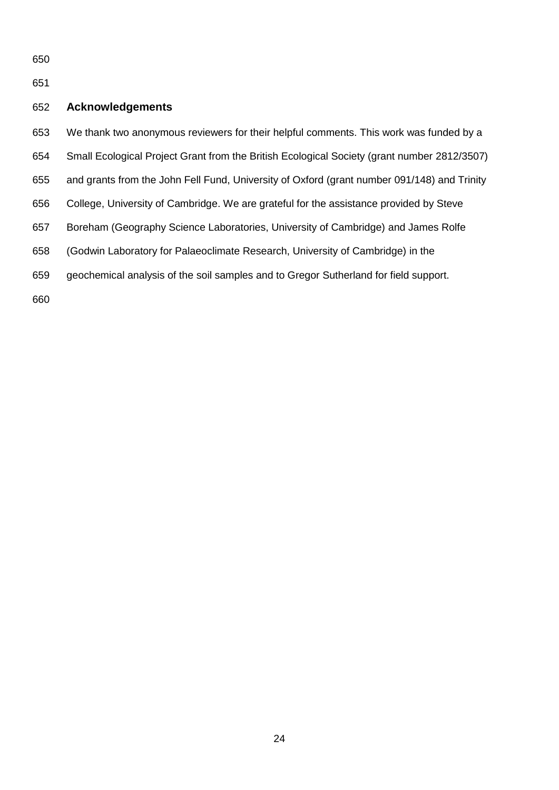## **Acknowledgements**

We thank two anonymous reviewers for their helpful comments. This work was funded by a

- Small Ecological Project Grant from the British Ecological Society (grant number 2812/3507)
- and grants from the John Fell Fund, University of Oxford (grant number 091/148) and Trinity
- College, University of Cambridge. We are grateful for the assistance provided by Steve
- Boreham (Geography Science Laboratories, University of Cambridge) and James Rolfe
- (Godwin Laboratory for Palaeoclimate Research, University of Cambridge) in the
- geochemical analysis of the soil samples and to Gregor Sutherland for field support.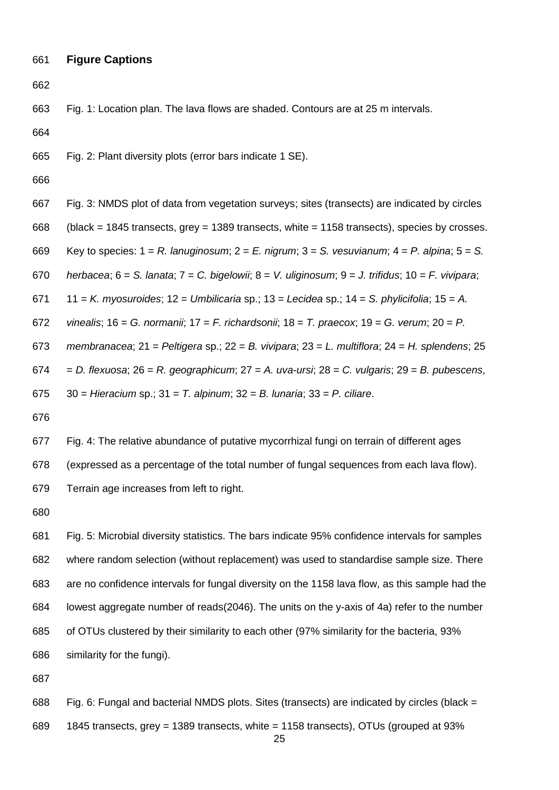# **Figure Captions**

Fig. 1: Location plan. The lava flows are shaded. Contours are at 25 m intervals.

Fig. 2: Plant diversity plots (error bars indicate 1 SE).

- Fig. 3: NMDS plot of data from vegetation surveys; sites (transects) are indicated by circles
- (black = 1845 transects, grey = 1389 transects, white = 1158 transects), species by crosses.
- Key to species: 1 = *R. lanuginosum*; 2 = *E. nigrum*; 3 = *S. vesuvianum*; 4 = *P. alpina*; 5 = *S.*
- *herbacea*; 6 = *S. lanata*; 7 = *C. bigelowii*; 8 = *V. uliginosum*; 9 = *J. trifidus*; 10 = *F. vivipara*;
- 11 = *K. myosuroides*; 12 = *Umbilicaria* sp.; 13 = *Lecidea* sp.; 14 = *S. phylicifolia*; 15 = *A.*
- *vinealis*; 16 = *G. normanii*; 17 = *F. richardsonii*; 18 = *T. praecox*; 19 = *G. verum*; 20 = *P.*
- *membranacea*; 21 = *Peltigera* sp.; 22 = *B. vivipara*; 23 = *L. multiflora*; 24 = *H. splendens*; 25
- = *D. flexuosa*; 26 = *R. geographicum*; 27 = *A. uva-ursi*; 28 = *C. vulgaris*; 29 = *B. pubescens*,

30 = *Hieracium* sp.; 31 = *T. alpinum*; 32 = *B. lunaria*; 33 = *P. ciliare*.

Fig. 4: The relative abundance of putative mycorrhizal fungi on terrain of different ages

(expressed as a percentage of the total number of fungal sequences from each lava flow).

Terrain age increases from left to right.

 Fig. 5: Microbial diversity statistics. The bars indicate 95% confidence intervals for samples where random selection (without replacement) was used to standardise sample size. There are no confidence intervals for fungal diversity on the 1158 lava flow, as this sample had the lowest aggregate number of reads(2046). The units on the y-axis of 4a) refer to the number of OTUs clustered by their similarity to each other (97% similarity for the bacteria, 93% similarity for the fungi).

 Fig. 6: Fungal and bacterial NMDS plots. Sites (transects) are indicated by circles (black = 1845 transects, grey = 1389 transects, white = 1158 transects), OTUs (grouped at 93%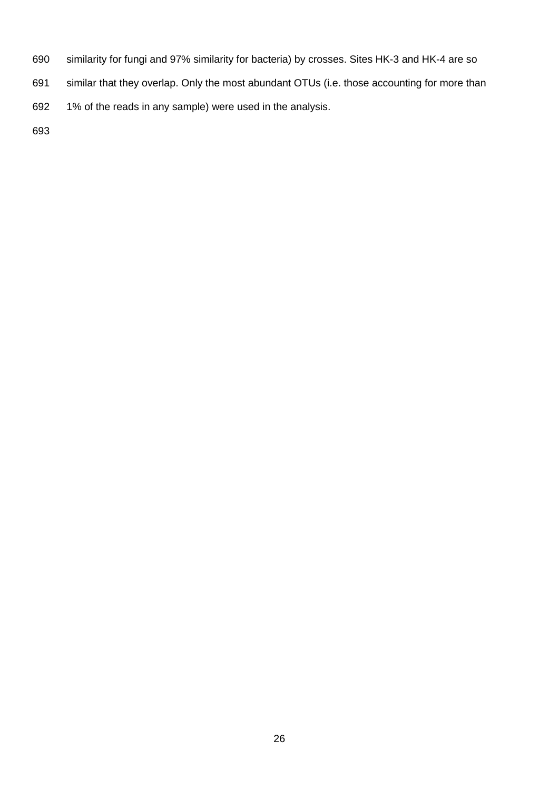- similarity for fungi and 97% similarity for bacteria) by crosses. Sites HK-3 and HK-4 are so
- similar that they overlap. Only the most abundant OTUs (i.e. those accounting for more than
- 1% of the reads in any sample) were used in the analysis.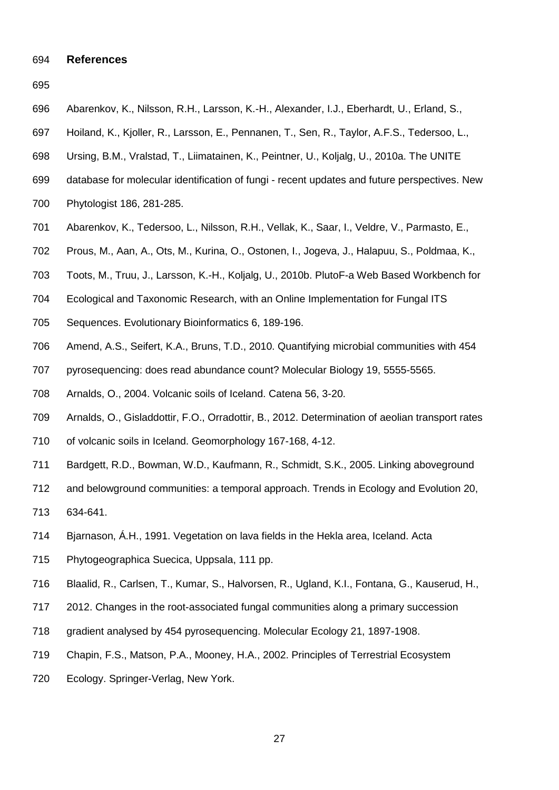#### **References**

- 
- <span id="page-27-4"></span>Abarenkov, K., Nilsson, R.H., Larsson, K.-H., Alexander, I.J., Eberhardt, U., Erland, S.,
- Hoiland, K., Kjoller, R., Larsson, E., Pennanen, T., Sen, R., Taylor, A.F.S., Tedersoo, L.,
- Ursing, B.M., Vralstad, T., Liimatainen, K., Peintner, U., Koljalg, U., 2010a. The UNITE
- database for molecular identification of fungi recent updates and future perspectives. New
- Phytologist 186, 281-285.
- <span id="page-27-3"></span>Abarenkov, K., Tedersoo, L., Nilsson, R.H., Vellak, K., Saar, I., Veldre, V., Parmasto, E.,
- Prous, M., Aan, A., Ots, M., Kurina, O., Ostonen, I., Jogeva, J., Halapuu, S., Poldmaa, K.,
- Toots, M., Truu, J., Larsson, K.-H., Koljalg, U., 2010b. PlutoF-a Web Based Workbench for
- Ecological and Taxonomic Research, with an Online Implementation for Fungal ITS
- Sequences. Evolutionary Bioinformatics 6, 189-196.
- <span id="page-27-6"></span>Amend, A.S., Seifert, K.A., Bruns, T.D., 2010. Quantifying microbial communities with 454
- pyrosequencing: does read abundance count? Molecular Biology 19, 5555-5565.
- <span id="page-27-2"></span>Arnalds, O., 2004. Volcanic soils of Iceland. Catena 56, 3-20.
- <span id="page-27-7"></span>Arnalds, O., Gisladdottir, F.O., Orradottir, B., 2012. Determination of aeolian transport rates
- of volcanic soils in Iceland. Geomorphology 167-168, 4-12.
- <span id="page-27-0"></span>Bardgett, R.D., Bowman, W.D., Kaufmann, R., Schmidt, S.K., 2005. Linking aboveground
- and belowground communities: a temporal approach. Trends in Ecology and Evolution 20,
- 634-641.
- <span id="page-27-1"></span>Bjarnason, Á.H., 1991. Vegetation on lava fields in the Hekla area, Iceland. Acta
- Phytogeographica Suecica, Uppsala, 111 pp.
- <span id="page-27-5"></span>Blaalid, R., Carlsen, T., Kumar, S., Halvorsen, R., Ugland, K.I., Fontana, G., Kauserud, H.,
- 2012. Changes in the root-associated fungal communities along a primary succession
- gradient analysed by 454 pyrosequencing. Molecular Ecology 21, 1897-1908.
- <span id="page-27-8"></span>Chapin, F.S., Matson, P.A., Mooney, H.A., 2002. Principles of Terrestrial Ecosystem
- Ecology. Springer-Verlag, New York.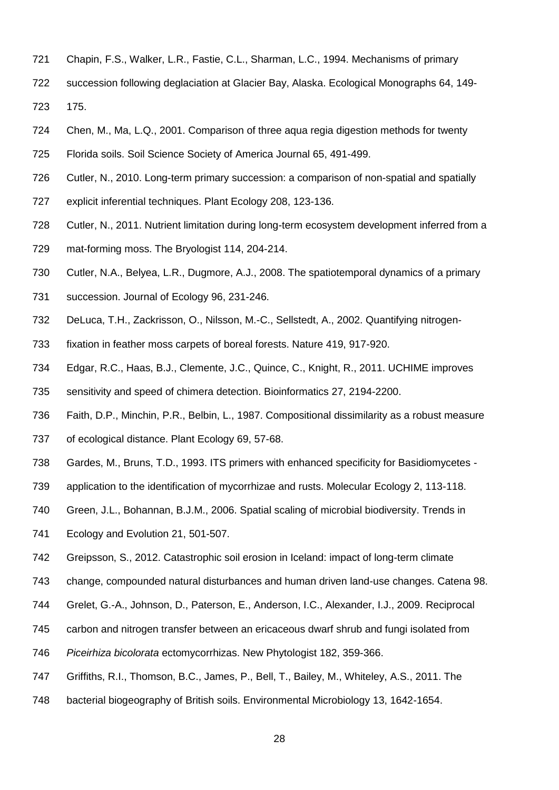- <span id="page-28-9"></span>Chapin, F.S., Walker, L.R., Fastie, C.L., Sharman, L.C., 1994. Mechanisms of primary
- succession following deglaciation at Glacier Bay, Alaska. Ecological Monographs 64, 149- 175.
- <span id="page-28-1"></span>Chen, M., Ma, L.Q., 2001. Comparison of three aqua regia digestion methods for twenty
- Florida soils. Soil Science Society of America Journal 65, 491-499.
- <span id="page-28-0"></span>Cutler, N., 2010. Long-term primary succession: a comparison of non-spatial and spatially
- explicit inferential techniques. Plant Ecology 208, 123-136.
- <span id="page-28-8"></span>Cutler, N., 2011. Nutrient limitation during long-term ecosystem development inferred from a
- mat-forming moss. The Bryologist 114, 204-214.
- <span id="page-28-7"></span>Cutler, N.A., Belyea, L.R., Dugmore, A.J., 2008. The spatiotemporal dynamics of a primary
- succession. Journal of Ecology 96, 231-246.
- <span id="page-28-10"></span>DeLuca, T.H., Zackrisson, O., Nilsson, M.-C., Sellstedt, A., 2002. Quantifying nitrogen-
- fixation in feather moss carpets of boreal forests. Nature 419, 917-920.
- <span id="page-28-3"></span>Edgar, R.C., Haas, B.J., Clemente, J.C., Quince, C., Knight, R., 2011. UCHIME improves
- sensitivity and speed of chimera detection. Bioinformatics 27, 2194-2200.
- <span id="page-28-4"></span>Faith, D.P., Minchin, P.R., Belbin, L., 1987. Compositional dissimilarity as a robust measure
- of ecological distance. Plant Ecology 69, 57-68.
- <span id="page-28-2"></span>Gardes, M., Bruns, T.D., 1993. ITS primers with enhanced specificity for Basidiomycetes -
- application to the identification of mycorrhizae and rusts. Molecular Ecology 2, 113-118.
- <span id="page-28-12"></span>Green, J.L., Bohannan, B.J.M., 2006. Spatial scaling of microbial biodiversity. Trends in
- Ecology and Evolution 21, 501-507.
- <span id="page-28-11"></span>Greipsson, S., 2012. Catastrophic soil erosion in Iceland: impact of long-term climate
- change, compounded natural disturbances and human driven land-use changes. Catena 98.
- <span id="page-28-5"></span>Grelet, G.-A., Johnson, D., Paterson, E., Anderson, I.C., Alexander, I.J., 2009. Reciprocal
- carbon and nitrogen transfer between an ericaceous dwarf shrub and fungi isolated from
- *Piceirhiza bicolorata* ectomycorrhizas. New Phytologist 182, 359-366.
- <span id="page-28-6"></span>Griffiths, R.I., Thomson, B.C., James, P., Bell, T., Bailey, M., Whiteley, A.S., 2011. The
- bacterial biogeography of British soils. Environmental Microbiology 13, 1642-1654.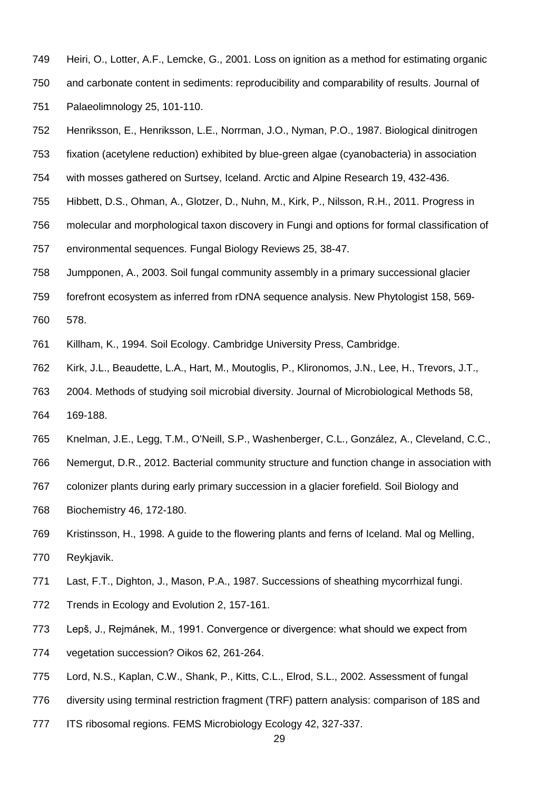- <span id="page-29-4"></span>Heiri, O., Lotter, A.F., Lemcke, G., 2001. Loss on ignition as a method for estimating organic
- and carbonate content in sediments: reproducibility and comparability of results. Journal of Palaeolimnology 25, 101-110.
- <span id="page-29-8"></span>Henriksson, E., Henriksson, L.E., Norrman, J.O., Nyman, P.O., 1987. Biological dinitrogen
- fixation (acetylene reduction) exhibited by blue-green algae (cyanobacteria) in association
- with mosses gathered on Surtsey, Iceland. Arctic and Alpine Research 19, 432-436.
- <span id="page-29-6"></span>Hibbett, D.S., Ohman, A., Glotzer, D., Nuhn, M., Kirk, P., Nilsson, R.H., 2011. Progress in
- molecular and morphological taxon discovery in Fungi and options for formal classification of
- environmental sequences. Fungal Biology Reviews 25, 38-47.
- <span id="page-29-1"></span>Jumpponen, A., 2003. Soil fungal community assembly in a primary successional glacier
- forefront ecosystem as inferred from rDNA sequence analysis. New Phytologist 158, 569- 578.
- <span id="page-29-7"></span>Killham, K., 1994. Soil Ecology. Cambridge University Press, Cambridge.
- <span id="page-29-0"></span>Kirk, J.L., Beaudette, L.A., Hart, M., Moutoglis, P., Klironomos, J.N., Lee, H., Trevors, J.T.,
- 2004. Methods of studying soil microbial diversity. Journal of Microbiological Methods 58, 169-188.
- <span id="page-29-9"></span>Knelman, J.E., Legg, T.M., O'Neill, S.P., Washenberger, C.L., González, A., Cleveland, C.C.,
- Nemergut, D.R., 2012. Bacterial community structure and function change in association with
- colonizer plants during early primary succession in a glacier forefield. Soil Biology and
- Biochemistry 46, 172-180.
- <span id="page-29-3"></span> Kristinsson, H., 1998. A guide to the flowering plants and ferns of Iceland. Mal og Melling, Reykjavik.
- <span id="page-29-2"></span>Last, F.T., Dighton, J., Mason, P.A., 1987. Successions of sheathing mycorrhizal fungi.
- Trends in Ecology and Evolution 2, 157-161.
- <span id="page-29-10"></span> Lepš, J., Rejmánek, M., 1991. Convergence or divergence: what should we expect from vegetation succession? Oikos 62, 261-264.
- <span id="page-29-5"></span>Lord, N.S., Kaplan, C.W., Shank, P., Kitts, C.L., Elrod, S.L., 2002. Assessment of fungal
- diversity using terminal restriction fragment (TRF) pattern analysis: comparison of 18S and
- ITS ribosomal regions. FEMS Microbiology Ecology 42, 327-337.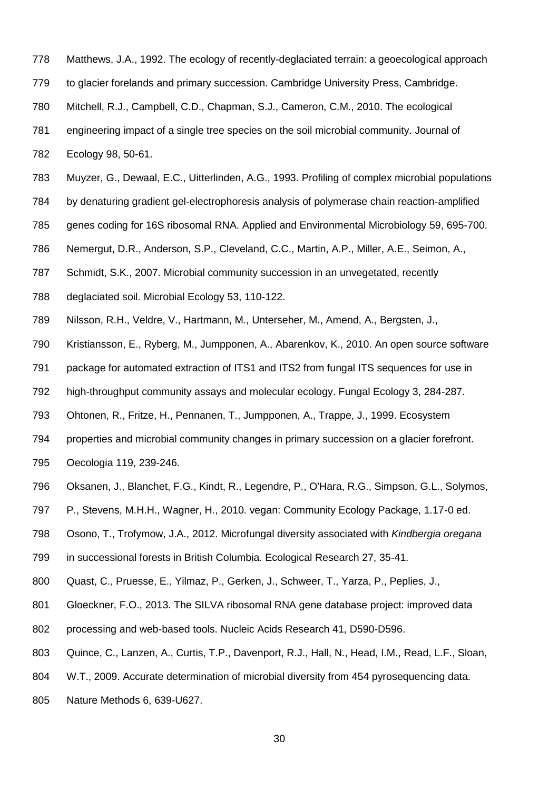- <span id="page-30-1"></span>Matthews, J.A., 1992. The ecology of recently-deglaciated terrain: a geoecological approach
- to glacier forelands and primary succession. Cambridge University Press, Cambridge.
- <span id="page-30-8"></span>Mitchell, R.J., Campbell, C.D., Chapman, S.J., Cameron, C.M., 2010. The ecological
- engineering impact of a single tree species on the soil microbial community. Journal of
- Ecology 98, 50-61.
- <span id="page-30-2"></span>Muyzer, G., Dewaal, E.C., Uitterlinden, A.G., 1993. Profiling of complex microbial populations
- by denaturing gradient gel-electrophoresis analysis of polymerase chain reaction-amplified
- genes coding for 16S ribosomal RNA. Applied and Environmental Microbiology 59, 695-700.
- <span id="page-30-0"></span>Nemergut, D.R., Anderson, S.P., Cleveland, C.C., Martin, A.P., Miller, A.E., Seimon, A.,
- Schmidt, S.K., 2007. Microbial community succession in an unvegetated, recently
- deglaciated soil. Microbial Ecology 53, 110-122.
- <span id="page-30-5"></span>Nilsson, R.H., Veldre, V., Hartmann, M., Unterseher, M., Amend, A., Bergsten, J.,
- Kristiansson, E., Ryberg, M., Jumpponen, A., Abarenkov, K., 2010. An open source software
- package for automated extraction of ITS1 and ITS2 from fungal ITS sequences for use in
- high-throughput community assays and molecular ecology. Fungal Ecology 3, 284-287.
- <span id="page-30-7"></span>Ohtonen, R., Fritze, H., Pennanen, T., Jumpponen, A., Trappe, J., 1999. Ecosystem
- properties and microbial community changes in primary succession on a glacier forefront.
- Oecologia 119, 239-246.
- <span id="page-30-6"></span>Oksanen, J., Blanchet, F.G., Kindt, R., Legendre, P., O'Hara, R.G., Simpson, G.L., Solymos,
- P., Stevens, M.H.H., Wagner, H., 2010. vegan: Community Ecology Package, 1.17-0 ed.
- <span id="page-30-9"></span>Osono, T., Trofymow, J.A., 2012. Microfungal diversity associated with *Kindbergia oregana*
- in successional forests in British Columbia. Ecological Research 27, 35-41.
- <span id="page-30-4"></span>Quast, C., Pruesse, E., Yilmaz, P., Gerken, J., Schweer, T., Yarza, P., Peplies, J.,
- Gloeckner, F.O., 2013. The SILVA ribosomal RNA gene database project: improved data
- processing and web-based tools. Nucleic Acids Research 41, D590-D596.
- <span id="page-30-3"></span>Quince, C., Lanzen, A., Curtis, T.P., Davenport, R.J., Hall, N., Head, I.M., Read, L.F., Sloan,
- W.T., 2009. Accurate determination of microbial diversity from 454 pyrosequencing data.
- Nature Methods 6, 639-U627.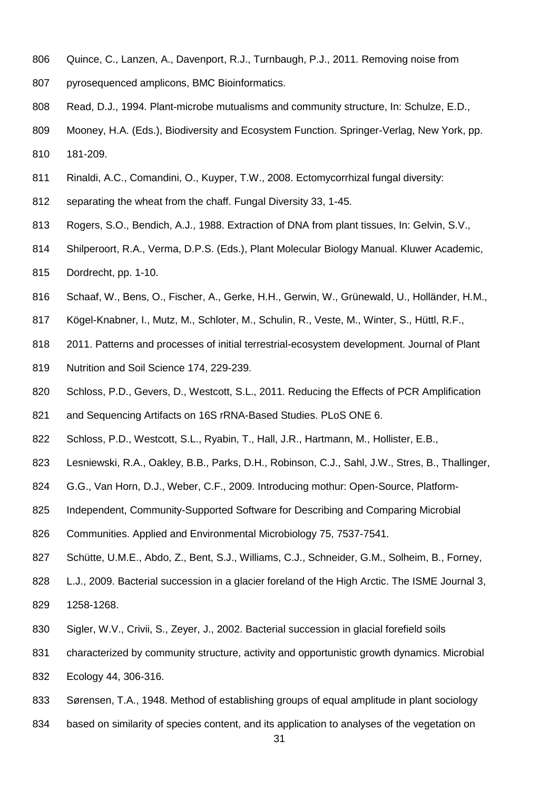- <span id="page-31-6"></span>Quince, C., Lanzen, A., Davenport, R.J., Turnbaugh, P.J., 2011. Removing noise from
- pyrosequenced amplicons, BMC Bioinformatics.
- <span id="page-31-9"></span>Read, D.J., 1994. Plant-microbe mutualisms and community structure, In: Schulze, E.D.,
- Mooney, H.A. (Eds.), Biodiversity and Ecosystem Function. Springer-Verlag, New York, pp. 181-209.
- <span id="page-31-8"></span>Rinaldi, A.C., Comandini, O., Kuyper, T.W., 2008. Ectomycorrhizal fungal diversity:
- separating the wheat from the chaff. Fungal Diversity 33, 1-45.
- <span id="page-31-3"></span>Rogers, S.O., Bendich, A.J., 1988. Extraction of DNA from plant tissues, In: Gelvin, S.V.,
- Shilperoort, R.A., Verma, D.P.S. (Eds.), Plant Molecular Biology Manual. Kluwer Academic,
- Dordrecht, pp. 1-10.
- <span id="page-31-2"></span>Schaaf, W., Bens, O., Fischer, A., Gerke, H.H., Gerwin, W., Grünewald, U., Holländer, H.M.,
- Kögel-Knabner, I., Mutz, M., Schloter, M., Schulin, R., Veste, M., Winter, S., Hüttl, R.F.,
- 2011. Patterns and processes of initial terrestrial-ecosystem development. Journal of Plant
- Nutrition and Soil Science 174, 229-239.
- <span id="page-31-5"></span>820 Schloss, P.D., Gevers, D., Westcott, S.L., 2011. Reducing the Effects of PCR Amplification
- and Sequencing Artifacts on 16S rRNA-Based Studies. PLoS ONE 6.
- <span id="page-31-4"></span>Schloss, P.D., Westcott, S.L., Ryabin, T., Hall, J.R., Hartmann, M., Hollister, E.B.,
- Lesniewski, R.A., Oakley, B.B., Parks, D.H., Robinson, C.J., Sahl, J.W., Stres, B., Thallinger,
- G.G., Van Horn, D.J., Weber, C.F., 2009. Introducing mothur: Open-Source, Platform-
- Independent, Community-Supported Software for Describing and Comparing Microbial
- Communities. Applied and Environmental Microbiology 75, 7537-7541.
- <span id="page-31-0"></span>Schütte, U.M.E., Abdo, Z., Bent, S.J., Williams, C.J., Schneider, G.M., Solheim, B., Forney,
- L.J., 2009. Bacterial succession in a glacier foreland of the High Arctic. The ISME Journal 3, 1258-1268.
- <span id="page-31-1"></span>Sigler, W.V., Crivii, S., Zeyer, J., 2002. Bacterial succession in glacial forefield soils
- characterized by community structure, activity and opportunistic growth dynamics. Microbial
- Ecology 44, 306-316.
- <span id="page-31-7"></span>Sørensen, T.A., 1948. Method of establishing groups of equal amplitude in plant sociology
- based on similarity of species content, and its application to analyses of the vegetation on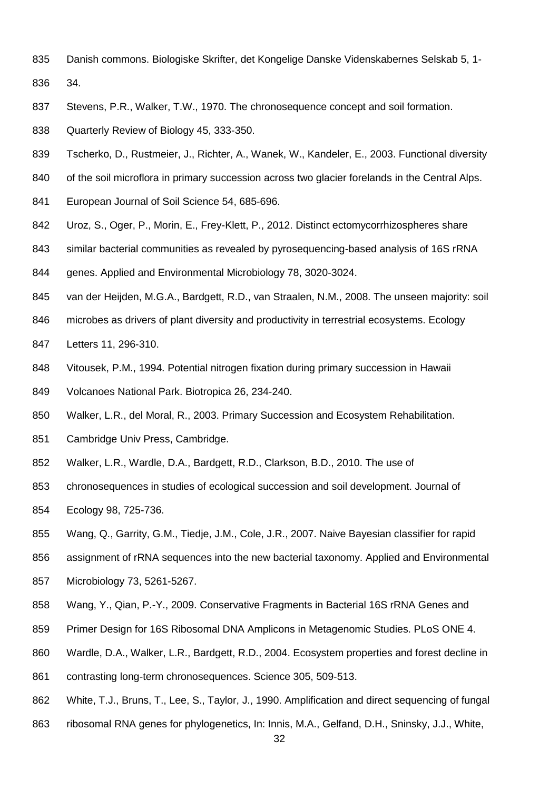Danish commons. Biologiske Skrifter, det Kongelige Danske Videnskabernes Selskab 5, 1-

34.

- <span id="page-32-3"></span>Stevens, P.R., Walker, T.W., 1970. The chronosequence concept and soil formation.
- Quarterly Review of Biology 45, 333-350.
- <span id="page-32-10"></span>Tscherko, D., Rustmeier, J., Richter, A., Wanek, W., Kandeler, E., 2003. Functional diversity
- 840 of the soil microflora in primary succession across two glacier forelands in the Central Alps.
- European Journal of Soil Science 54, 685-696.
- <span id="page-32-8"></span>Uroz, S., Oger, P., Morin, E., Frey-Klett, P., 2012. Distinct ectomycorrhizospheres share
- similar bacterial communities as revealed by pyrosequencing-based analysis of 16S rRNA
- genes. Applied and Environmental Microbiology 78, 3020-3024.
- <span id="page-32-1"></span>van der Heijden, M.G.A., Bardgett, R.D., van Straalen, N.M., 2008. The unseen majority: soil
- microbes as drivers of plant diversity and productivity in terrestrial ecosystems. Ecology
- Letters 11, 296-310.
- <span id="page-32-9"></span>Vitousek, P.M., 1994. Potential nitrogen fixation during primary succession in Hawaii
- Volcanoes National Park. Biotropica 26, 234-240.
- <span id="page-32-0"></span>Walker, L.R., del Moral, R., 2003. Primary Succession and Ecosystem Rehabilitation.
- Cambridge Univ Press, Cambridge.
- <span id="page-32-2"></span>Walker, L.R., Wardle, D.A., Bardgett, R.D., Clarkson, B.D., 2010. The use of
- chronosequences in studies of ecological succession and soil development. Journal of
- Ecology 98, 725-736.
- <span id="page-32-7"></span>Wang, Q., Garrity, G.M., Tiedje, J.M., Cole, J.R., 2007. Naive Bayesian classifier for rapid
- assignment of rRNA sequences into the new bacterial taxonomy. Applied and Environmental
- Microbiology 73, 5261-5267.
- <span id="page-32-6"></span>Wang, Y., Qian, P.-Y., 2009. Conservative Fragments in Bacterial 16S rRNA Genes and
- Primer Design for 16S Ribosomal DNA Amplicons in Metagenomic Studies. PLoS ONE 4.
- <span id="page-32-4"></span>Wardle, D.A., Walker, L.R., Bardgett, R.D., 2004. Ecosystem properties and forest decline in
- contrasting long-term chronosequences. Science 305, 509-513.
- <span id="page-32-5"></span>White, T.J., Bruns, T., Lee, S., Taylor, J., 1990. Amplification and direct sequencing of fungal
- ribosomal RNA genes for phylogenetics, In: Innis, M.A., Gelfand, D.H., Sninsky, J.J., White,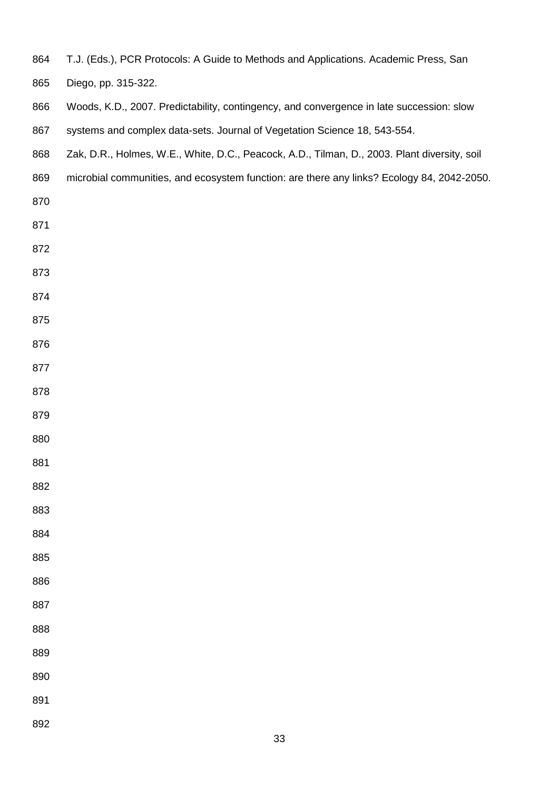T.J. (Eds.), PCR Protocols: A Guide to Methods and Applications. Academic Press, San

Diego, pp. 315-322.

- <span id="page-33-0"></span>Woods, K.D., 2007. Predictability, contingency, and convergence in late succession: slow
- 867 systems and complex data-sets. Journal of Vegetation Science 18, 543-554.
- <span id="page-33-1"></span>Zak, D.R., Holmes, W.E., White, D.C., Peacock, A.D., Tilman, D., 2003. Plant diversity, soil
- microbial communities, and ecosystem function: are there any links? Ecology 84, 2042-2050.
- 
- 
- 
- 
- 
- 
- 
- 
- 
- 
- 
- 
- 
- 
- 
- 
- 
- 
- 
- 
- 
- 
- 
- 
-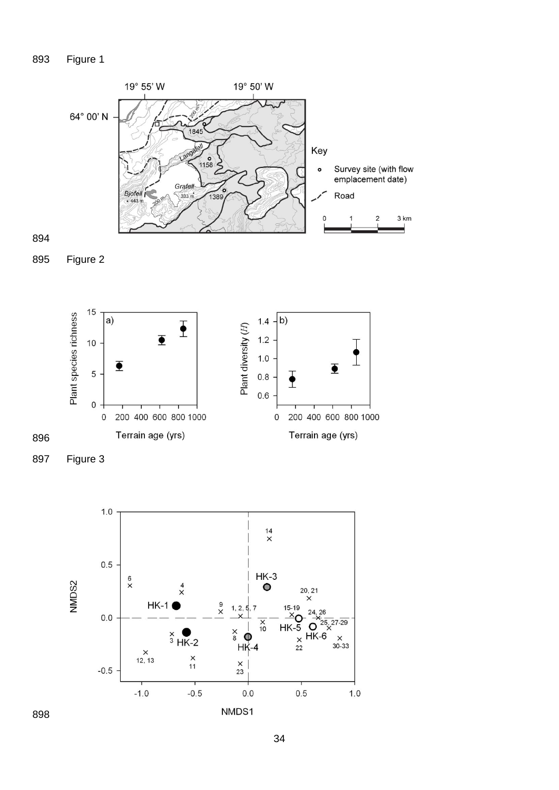# Figure 1







Figure 3

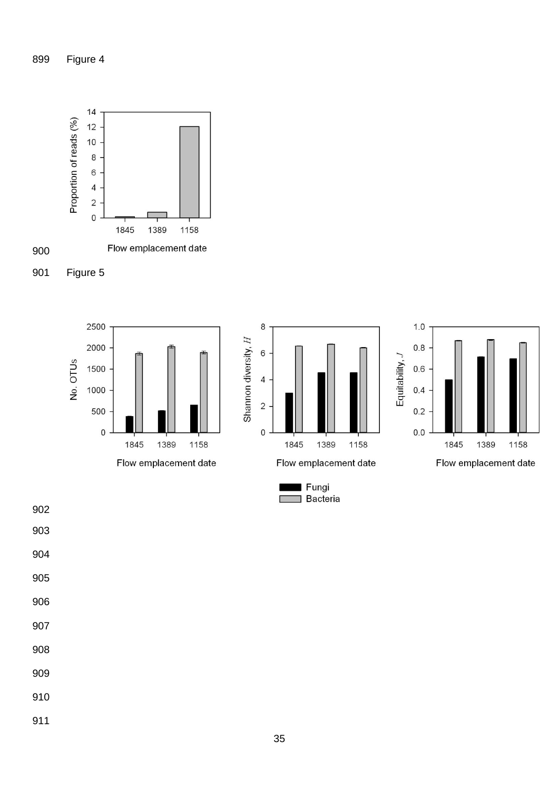



Figure 5











- 
-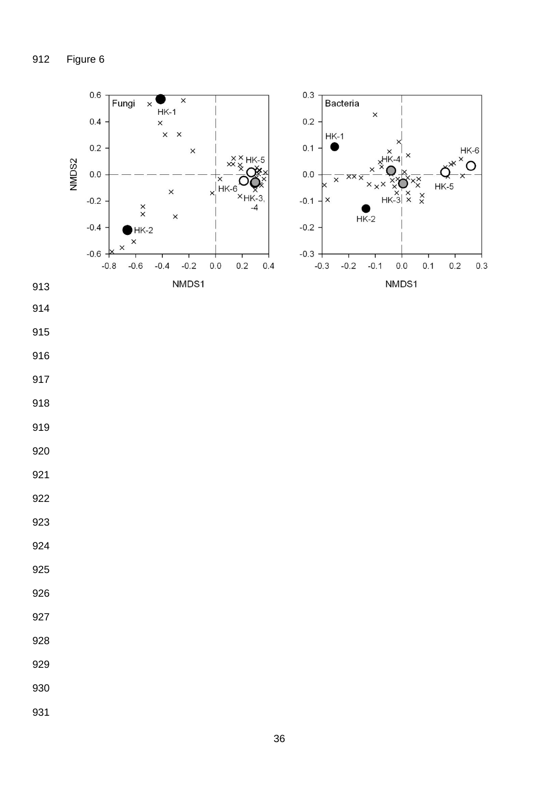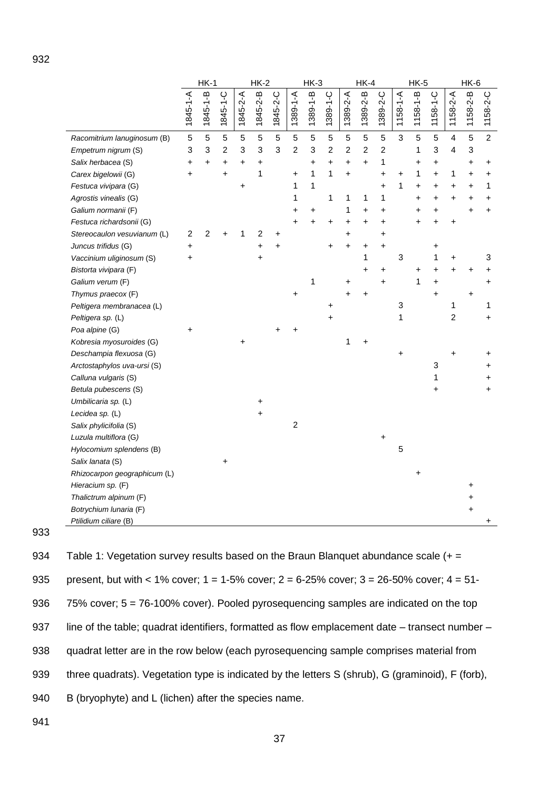|                              |                | $HK-1$<br>$HK-2$ |          | $HK-3$     |           | $HK-4$   |                | $HK-5$    |                | $HK-6$    |                |                |                |                |                |                         |                           |                |
|------------------------------|----------------|------------------|----------|------------|-----------|----------|----------------|-----------|----------------|-----------|----------------|----------------|----------------|----------------|----------------|-------------------------|---------------------------|----------------|
|                              | 1845-1-A       | 1845-1-B         | 1845-1-C | 1845-2-A   | 1845-2-B  | 1845-2-C | 1389-1-A       | 1389-1-B  | 1389-1-C       | 1389-2-A  | 1389-2-B       | 1389-2-C       | $1158 - 1 - A$ | $1158 - 1 - B$ | $1158 - 1 - C$ | $1158 - 2 - A$          | $1158 - 2 - B$            | 1158-2-C       |
| Racomitrium lanuginosum (B)  | 5              | 5                | 5        | $\sqrt{5}$ | 5         | 5        | $\sqrt{5}$     | 5         | 5              | 5         | 5              | 5              | 3              | 5              | 5              | $\overline{\mathbf{4}}$ | 5                         | $\overline{c}$ |
| Empetrum nigrum (S)          | 3              | 3                | 2        | 3          | 3         | 3        | $\overline{2}$ | 3         | $\overline{c}$ | 2         | $\overline{c}$ | $\overline{c}$ |                | 1              | 3              | 4                       | $\ensuremath{\mathsf{3}}$ |                |
| Salix herbacea (S)           | +              | $\pmb{+}$        | +        | +          | +         |          |                | +         | $\ddot{}$      | +         | $\ddot{}$      | 1              |                | +              | +              |                         | $\ddot{}$                 | +              |
| Carex bigelowii (G)          | $\ddot{}$      |                  | +        |            | 1         |          | +              | 1         | 1              | +         |                | $\ddot{}$      | +              | 1              | +              | 1                       | +                         | +              |
| Festuca vivipara (G)         |                |                  |          | +          |           |          | 1              | 1         |                |           |                | $\ddot{}$      | 1              | +              | +              | +                       | +                         | 1              |
| Agrostis vinealis (G)        |                |                  |          |            |           |          | 1              |           | 1              | 1         | 1              | 1              |                | +              | +              | +                       | +                         | +              |
| Galium normanii (F)          |                |                  |          |            |           |          | $\ddot{}$      | $\ddot{}$ |                | 1         | $\ddot{}$      | $\ddot{}$      |                | $\ddot{}$      | $\ddot{}$      |                         | $\ddot{}$                 | $\ddot{}$      |
| Festuca richardsonii (G)     |                |                  |          |            |           |          | $\ddot{}$      | $\ddot{}$ | +              | $\ddot{}$ | +              | $\ddot{}$      |                | +              | 4              | +                       |                           |                |
| Stereocaulon vesuvianum (L)  | $\overline{c}$ | $\overline{2}$   |          | 1          | 2         | +        |                |           |                | $\ddot{}$ |                | +              |                |                |                |                         |                           |                |
| Juncus trifidus (G)          | +              |                  |          |            | +         | +        |                |           | +              | Ŧ.        | +              | +              |                |                | +              |                         |                           |                |
| Vaccinium uliginosum (S)     | $\ddot{}$      |                  |          |            | $\ddot{}$ |          |                |           |                |           | 1              |                | $\mathbf{3}$   |                | 1              | $\ddot{}$               |                           | 3              |
| Bistorta vivipara (F)        |                |                  |          |            |           |          |                |           |                |           | +              | +              |                | +              | +              | +                       | +                         | +              |
| Galium verum (F)             |                |                  |          |            |           |          |                | 1         |                | +         |                | $\ddot{}$      |                | 1              | $\ddot{}$      |                         |                           | $\ddot{}$      |
| Thymus praecox (F)           |                |                  |          |            |           |          | +              |           |                |           |                |                |                |                |                |                         | +                         |                |
| Peltigera membranacea (L)    |                |                  |          |            |           |          |                |           |                |           |                |                | $\mathbf 3$    |                |                | 1                       |                           | 1              |
| Peltigera sp. (L)            |                |                  |          |            |           |          |                |           |                |           |                |                | 1              |                |                | $\overline{c}$          |                           | $\ddot{}$      |
| Poa alpine (G)               | $\ddot{}$      |                  |          |            |           |          |                |           |                |           |                |                |                |                |                |                         |                           |                |
| Kobresia myosuroides (G)     |                |                  |          |            |           |          |                |           |                | 1         |                |                |                |                |                |                         |                           |                |
| Deschampia flexuosa (G)      |                |                  |          |            |           |          |                |           |                |           |                |                | $\ddot{}$      |                |                | $\ddot{}$               |                           | +              |
| Arctostaphylos uva-ursi (S)  |                |                  |          |            |           |          |                |           |                |           |                |                |                |                | 3              |                         |                           | +              |
| Calluna vulgaris (S)         |                |                  |          |            |           |          |                |           |                |           |                |                |                |                | 1              |                         |                           | +              |
| Betula pubescens (S)         |                |                  |          |            |           |          |                |           |                |           |                |                |                |                |                |                         |                           | $\ddot{}$      |
| Umbilicaria sp. (L)          |                |                  |          |            | +         |          |                |           |                |           |                |                |                |                |                |                         |                           |                |
| Lecidea sp. (L)              |                |                  |          |            | +         |          |                |           |                |           |                |                |                |                |                |                         |                           |                |
| Salix phylicifolia (S)       |                |                  |          |            |           |          | $\overline{c}$ |           |                |           |                |                |                |                |                |                         |                           |                |
| Luzula multiflora (G)        |                |                  |          |            |           |          |                |           |                |           |                | $\ddot{}$      |                |                |                |                         |                           |                |
| Hylocomium splendens (B)     |                |                  |          |            |           |          |                |           |                |           |                |                | 5              |                |                |                         |                           |                |
| Salix lanata (S)             |                |                  | +        |            |           |          |                |           |                |           |                |                |                |                |                |                         |                           |                |
| Rhizocarpon geographicum (L) |                |                  |          |            |           |          |                |           |                |           |                |                |                | +              |                |                         |                           |                |
| Hieracium sp. (F)            |                |                  |          |            |           |          |                |           |                |           |                |                |                |                |                |                         | +                         |                |
| Thalictrum alpinum (F)       |                |                  |          |            |           |          |                |           |                |           |                |                |                |                |                |                         | +                         |                |
| Botrychium lunaria (F)       |                |                  |          |            |           |          |                |           |                |           |                |                |                |                |                |                         | +                         |                |
| Ptilidium ciliare (B)        |                |                  |          |            |           |          |                |           |                |           |                |                |                |                |                |                         |                           | +              |

934 Table 1: Vegetation survey results based on the Braun Blanquet abundance scale  $(+)$ 935 present, but with < 1% cover; 1 = 1-5% cover; 2 = 6-25% cover; 3 = 26-50% cover; 4 = 51- 936 75% cover; 5 = 76-100% cover). Pooled pyrosequencing samples are indicated on the top 937 line of the table; quadrat identifiers, formatted as flow emplacement date – transect number – 938 quadrat letter are in the row below (each pyrosequencing sample comprises material from 939 three quadrats). Vegetation type is indicated by the letters S (shrub), G (graminoid), F (forb), 940 B (bryophyte) and L (lichen) after the species name.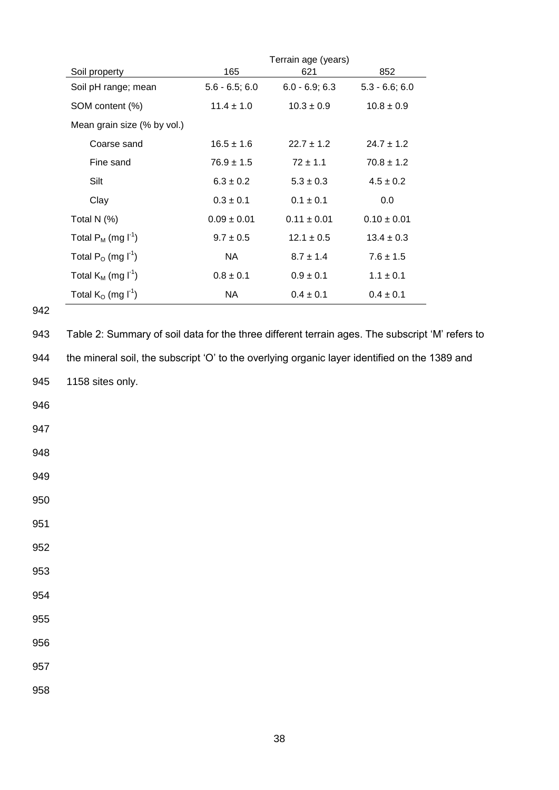|                             |                  | Terrain age (years) |                  |
|-----------------------------|------------------|---------------------|------------------|
| Soil property               | 165              | 621                 | 852              |
| Soil pH range; mean         | $5.6 - 6.5; 6.0$ | $6.0 - 6.9; 6.3$    | $5.3 - 6.6; 6.0$ |
| SOM content (%)             | $11.4 \pm 1.0$   | $10.3 \pm 0.9$      | $10.8 \pm 0.9$   |
| Mean grain size (% by vol.) |                  |                     |                  |
| Coarse sand                 | $16.5 \pm 1.6$   | $22.7 + 1.2$        | $24.7 \pm 1.2$   |
| Fine sand                   | $76.9 \pm 1.5$   | $72 \pm 1.1$        | $70.8 \pm 1.2$   |
| Silt                        | $6.3 \pm 0.2$    | $5.3 \pm 0.3$       | $4.5 \pm 0.2$    |
| Clay                        | $0.3 \pm 0.1$    | $0.1 \pm 0.1$       | 0.0              |
| Total N $(%)$               | $0.09 \pm 0.01$  | $0.11 \pm 0.01$     | $0.10 \pm 0.01$  |
| Total $P_M$ (mg $I^1$ )     | $9.7 \pm 0.5$    | $12.1 \pm 0.5$      | $13.4 \pm 0.3$   |
| Total $P_0$ (mg $I^1$ )     | NA.              | $8.7 \pm 1.4$       | $7.6 \pm 1.5$    |
| Total $K_M$ (mg $I^1$ )     | $0.8 \pm 0.1$    | $0.9 \pm 0.1$       | $1.1 \pm 0.1$    |
| Total $K_0$ (mg $I^1$ )     | NA               | $0.4 \pm 0.1$       | $0.4 \pm 0.1$    |

943 Table 2: Summary of soil data for the three different terrain ages. The subscript 'M' refers to 944 the mineral soil, the subscript 'O' to the overlying organic layer identified on the 1389 and 945 1158 sites only. 946 947 948 949 950 951 952 953 954 955 956 957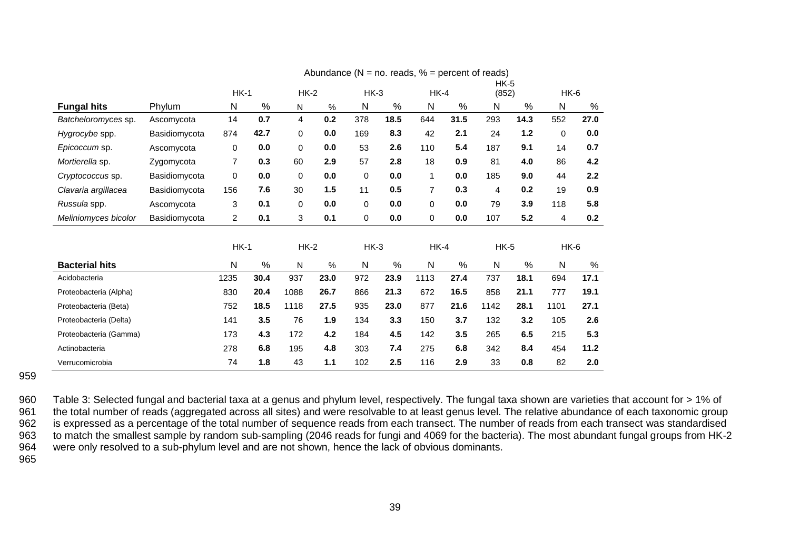|                        |               |                |      |          |      |        |      |                |      | $HK-5$       |       |        |      |
|------------------------|---------------|----------------|------|----------|------|--------|------|----------------|------|--------------|-------|--------|------|
|                        |               | $HK-1$         |      | $HK-2$   |      | $HK-3$ |      | $HK-4$         |      | (852)        |       | $HK-6$ |      |
| <b>Fungal hits</b>     | Phylum        | N              | %    | N        | %    | Ν      | %    | N              | %    | N            | %     | N      | %    |
| Batcheloromyces sp.    | Ascomycota    | 14             | 0.7  | 4        | 0.2  | 378    | 18.5 | 644            | 31.5 | 293          | 14.3  | 552    | 27.0 |
| Hygrocybe spp.         | Basidiomycota | 874            | 42.7 | 0        | 0.0  | 169    | 8.3  | 42             | 2.1  | 24           | $1.2$ | 0      | 0.0  |
| Epicoccum sp.          | Ascomycota    | 0              | 0.0  | 0        | 0.0  | 53     | 2.6  | 110            | 5.4  | 187          | 9.1   | 14     | 0.7  |
| Mortierella sp.        | Zygomycota    | 7              | 0.3  | 60       | 2.9  | 57     | 2.8  | 18             | 0.9  | 81           | 4.0   | 86     | 4.2  |
| Cryptococcus sp.       | Basidiomycota | 0              | 0.0  | $\Omega$ | 0.0  | 0      | 0.0  | 1              | 0.0  | 185          | 9.0   | 44     | 2.2  |
| Clavaria argillacea    | Basidiomycota | 156            | 7.6  | 30       | 1.5  | 11     | 0.5  | $\overline{7}$ | 0.3  | 4            | 0.2   | 19     | 0.9  |
| Russula spp.           | Ascomycota    | 3              | 0.1  | 0        | 0.0  | 0      | 0.0  | 0              | 0.0  | 79           | 3.9   | 118    | 5.8  |
| Meliniomyces bicolor   | Basidiomycota | $\overline{c}$ | 0.1  | 3        | 0.1  | 0      | 0.0  | $\mathbf 0$    | 0.0  | 107          | 5.2   | 4      | 0.2  |
|                        |               |                |      |          |      |        |      |                |      |              |       |        |      |
|                        |               | $HK-1$         |      | $HK-2$   |      | $HK-3$ |      | HK-4           |      | $HK-5$       |       | HK-6   |      |
| <b>Bacterial hits</b>  |               | N              | %    | N        | %    | N      | %    | $\mathsf{N}$   | %    | $\mathsf{N}$ | %     | N      | $\%$ |
| Acidobacteria          |               | 1235           | 30.4 | 937      | 23.0 | 972    | 23.9 | 1113           | 27.4 | 737          | 18.1  | 694    | 17.1 |
| Proteobacteria (Alpha) |               | 830            | 20.4 | 1088     | 26.7 | 866    | 21.3 | 672            | 16.5 | 858          | 21.1  | 777    | 19.1 |
| Proteobacteria (Beta)  |               | 752            | 18.5 | 1118     | 27.5 | 935    | 23.0 | 877            | 21.6 | 1142         | 28.1  | 1101   | 27.1 |
| Proteobacteria (Delta) |               | 141            | 3.5  | 76       | 1.9  | 134    | 3.3  | 150            | 3.7  | 132          | 3.2   | 105    | 2.6  |
| Proteobacteria (Gamma) |               | 173            | 4.3  | 172      | 4.2  | 184    | 4.5  | 142            | 3.5  | 265          | 6.5   | 215    | 5.3  |
| Actinobacteria         |               | 278            | 6.8  | 195      | 4.8  | 303    | 7.4  | 275            | 6.8  | 342          | 8.4   | 454    | 11.2 |
| Verrucomicrobia        |               | 74             | 1.8  | 43       | 1.1  | 102    | 2.5  | 116            | 2.9  | 33           | 0.8   | 82     | 2.0  |

Abundance  $(N = no$ . reads,  $% =$  percent of reads)

959

960 Table 3: Selected fungal and bacterial taxa at a genus and phylum level, respectively. The fungal taxa shown are varieties that account for > 1% of 961 the total number of reads (aggregated across all sites) and were r 961 the total number of reads (aggregated across all sites) and were resolvable to at least genus level. The relative abundance of each taxonomic group<br>962 is expressed as a percentage of the total number of sequence reads is expressed as a percentage of the total number of sequence reads from each transect. The number of reads from each transect was standardised 963 to match the smallest sample by random sub-sampling (2046 reads for fungi and 4069 for the bacteria). The most abundant fungal groups from HK-2 964 were only resolved to a sub-phylum level and are not shown, hence the lack of obvious dominants.